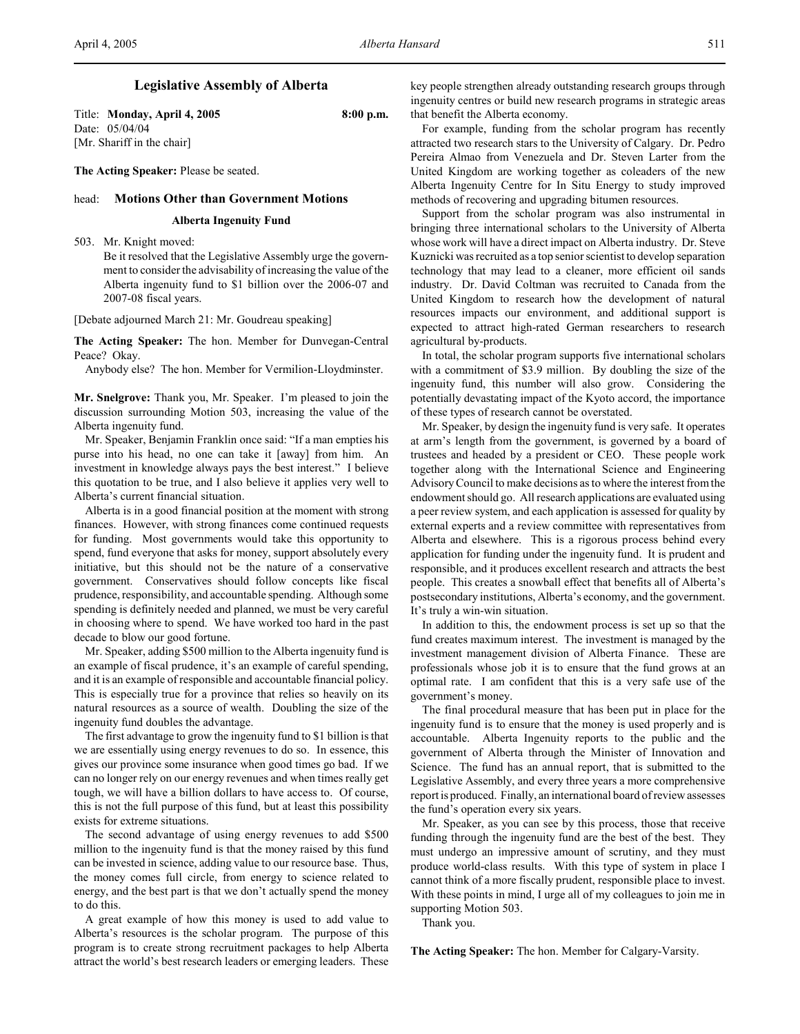# **Legislative Assembly of Alberta**

Title: **Monday, April 4, 2005** 8:00 p.m. Date: 05/04/04 [Mr. Shariff in the chair]

**The Acting Speaker:** Please be seated.

### head: **Motions Other than Government Motions**

### **Alberta Ingenuity Fund**

503. Mr. Knight moved:

Be it resolved that the Legislative Assembly urge the government to consider the advisability of increasing the value of the Alberta ingenuity fund to \$1 billion over the 2006-07 and 2007-08 fiscal years.

[Debate adjourned March 21: Mr. Goudreau speaking]

**The Acting Speaker:** The hon. Member for Dunvegan-Central Peace? Okay.

Anybody else? The hon. Member for Vermilion-Lloydminster.

**Mr. Snelgrove:** Thank you, Mr. Speaker. I'm pleased to join the discussion surrounding Motion 503, increasing the value of the Alberta ingenuity fund.

Mr. Speaker, Benjamin Franklin once said: "If a man empties his purse into his head, no one can take it [away] from him. An investment in knowledge always pays the best interest." I believe this quotation to be true, and I also believe it applies very well to Alberta's current financial situation.

Alberta is in a good financial position at the moment with strong finances. However, with strong finances come continued requests for funding. Most governments would take this opportunity to spend, fund everyone that asks for money, support absolutely every initiative, but this should not be the nature of a conservative government. Conservatives should follow concepts like fiscal prudence, responsibility, and accountable spending. Although some spending is definitely needed and planned, we must be very careful in choosing where to spend. We have worked too hard in the past decade to blow our good fortune.

Mr. Speaker, adding \$500 million to the Alberta ingenuity fund is an example of fiscal prudence, it's an example of careful spending, and it is an example of responsible and accountable financial policy. This is especially true for a province that relies so heavily on its natural resources as a source of wealth. Doubling the size of the ingenuity fund doubles the advantage.

The first advantage to grow the ingenuity fund to \$1 billion is that we are essentially using energy revenues to do so. In essence, this gives our province some insurance when good times go bad. If we can no longer rely on our energy revenues and when times really get tough, we will have a billion dollars to have access to. Of course, this is not the full purpose of this fund, but at least this possibility exists for extreme situations.

The second advantage of using energy revenues to add \$500 million to the ingenuity fund is that the money raised by this fund can be invested in science, adding value to our resource base. Thus, the money comes full circle, from energy to science related to energy, and the best part is that we don't actually spend the money to do this.

A great example of how this money is used to add value to Alberta's resources is the scholar program. The purpose of this program is to create strong recruitment packages to help Alberta attract the world's best research leaders or emerging leaders. These

key people strengthen already outstanding research groups through ingenuity centres or build new research programs in strategic areas that benefit the Alberta economy.

For example, funding from the scholar program has recently attracted two research stars to the University of Calgary. Dr. Pedro Pereira Almao from Venezuela and Dr. Steven Larter from the United Kingdom are working together as coleaders of the new Alberta Ingenuity Centre for In Situ Energy to study improved methods of recovering and upgrading bitumen resources.

Support from the scholar program was also instrumental in bringing three international scholars to the University of Alberta whose work will have a direct impact on Alberta industry. Dr. Steve Kuznicki was recruited as a top senior scientist to develop separation technology that may lead to a cleaner, more efficient oil sands industry. Dr. David Coltman was recruited to Canada from the United Kingdom to research how the development of natural resources impacts our environment, and additional support is expected to attract high-rated German researchers to research agricultural by-products.

In total, the scholar program supports five international scholars with a commitment of \$3.9 million. By doubling the size of the ingenuity fund, this number will also grow. Considering the potentially devastating impact of the Kyoto accord, the importance of these types of research cannot be overstated.

Mr. Speaker, by design the ingenuity fund is very safe. It operates at arm's length from the government, is governed by a board of trustees and headed by a president or CEO. These people work together along with the International Science and Engineering Advisory Council to make decisions as to where the interest from the endowment should go. All research applications are evaluated using a peer review system, and each application is assessed for quality by external experts and a review committee with representatives from Alberta and elsewhere. This is a rigorous process behind every application for funding under the ingenuity fund. It is prudent and responsible, and it produces excellent research and attracts the best people. This creates a snowball effect that benefits all of Alberta's postsecondary institutions, Alberta's economy, and the government. It's truly a win-win situation.

In addition to this, the endowment process is set up so that the fund creates maximum interest. The investment is managed by the investment management division of Alberta Finance. These are professionals whose job it is to ensure that the fund grows at an optimal rate. I am confident that this is a very safe use of the government's money.

The final procedural measure that has been put in place for the ingenuity fund is to ensure that the money is used properly and is accountable. Alberta Ingenuity reports to the public and the government of Alberta through the Minister of Innovation and Science. The fund has an annual report, that is submitted to the Legislative Assembly, and every three years a more comprehensive report is produced. Finally, an international board of review assesses the fund's operation every six years.

Mr. Speaker, as you can see by this process, those that receive funding through the ingenuity fund are the best of the best. They must undergo an impressive amount of scrutiny, and they must produce world-class results. With this type of system in place I cannot think of a more fiscally prudent, responsible place to invest. With these points in mind, I urge all of my colleagues to join me in supporting Motion 503.

Thank you.

**The Acting Speaker:** The hon. Member for Calgary-Varsity.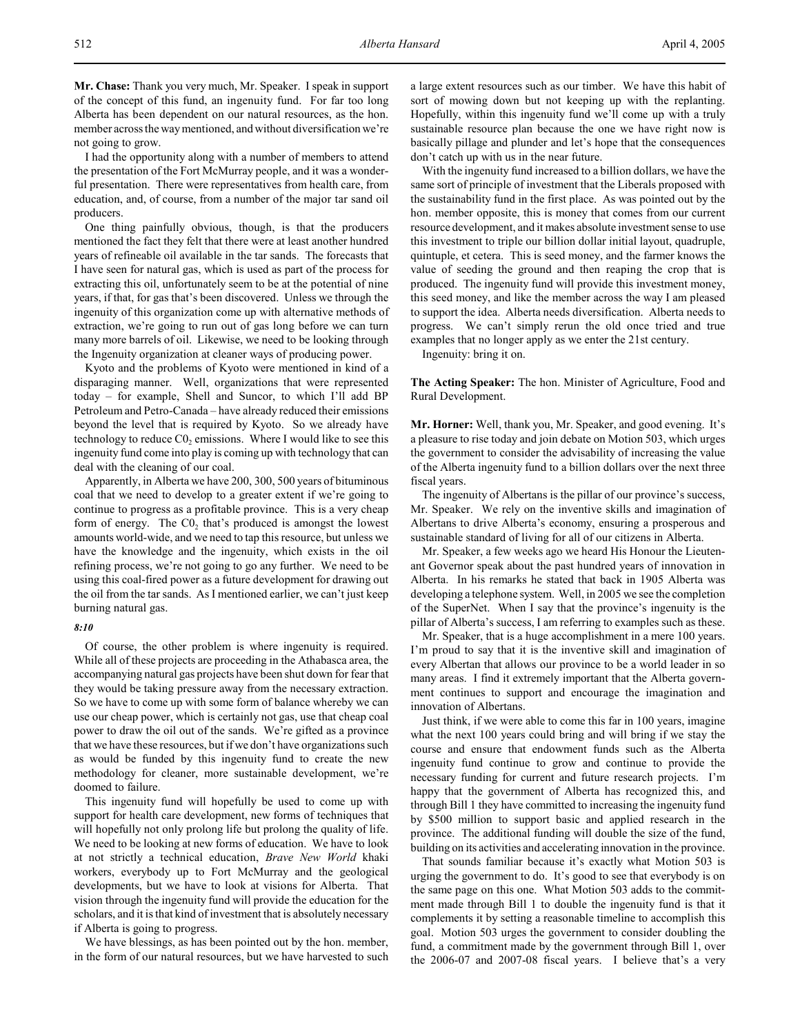**Mr. Chase:** Thank you very much, Mr. Speaker. I speak in support of the concept of this fund, an ingenuity fund. For far too long Alberta has been dependent on our natural resources, as the hon. member across the way mentioned, and without diversification we're not going to grow.

I had the opportunity along with a number of members to attend the presentation of the Fort McMurray people, and it was a wonderful presentation. There were representatives from health care, from education, and, of course, from a number of the major tar sand oil producers.

One thing painfully obvious, though, is that the producers mentioned the fact they felt that there were at least another hundred years of refineable oil available in the tar sands. The forecasts that I have seen for natural gas, which is used as part of the process for extracting this oil, unfortunately seem to be at the potential of nine years, if that, for gas that's been discovered. Unless we through the ingenuity of this organization come up with alternative methods of extraction, we're going to run out of gas long before we can turn many more barrels of oil. Likewise, we need to be looking through the Ingenuity organization at cleaner ways of producing power.

Kyoto and the problems of Kyoto were mentioned in kind of a disparaging manner. Well, organizations that were represented today – for example, Shell and Suncor, to which I'll add BP Petroleum and Petro-Canada – have already reduced their emissions beyond the level that is required by Kyoto. So we already have technology to reduce  $CO<sub>2</sub>$  emissions. Where I would like to see this ingenuity fund come into play is coming up with technology that can deal with the cleaning of our coal.

Apparently, in Alberta we have 200, 300, 500 years of bituminous coal that we need to develop to a greater extent if we're going to continue to progress as a profitable province. This is a very cheap form of energy. The  $C_0$ , that's produced is amongst the lowest amounts world-wide, and we need to tap this resource, but unless we have the knowledge and the ingenuity, which exists in the oil refining process, we're not going to go any further. We need to be using this coal-fired power as a future development for drawing out the oil from the tar sands. As I mentioned earlier, we can't just keep burning natural gas.

### *8:10*

Of course, the other problem is where ingenuity is required. While all of these projects are proceeding in the Athabasca area, the accompanying natural gas projects have been shut down for fear that they would be taking pressure away from the necessary extraction. So we have to come up with some form of balance whereby we can use our cheap power, which is certainly not gas, use that cheap coal power to draw the oil out of the sands. We're gifted as a province that we have these resources, but if we don't have organizations such as would be funded by this ingenuity fund to create the new methodology for cleaner, more sustainable development, we're doomed to failure.

This ingenuity fund will hopefully be used to come up with support for health care development, new forms of techniques that will hopefully not only prolong life but prolong the quality of life. We need to be looking at new forms of education. We have to look at not strictly a technical education, *Brave New World* khaki workers, everybody up to Fort McMurray and the geological developments, but we have to look at visions for Alberta. That vision through the ingenuity fund will provide the education for the scholars, and it is that kind of investment that is absolutely necessary if Alberta is going to progress.

We have blessings, as has been pointed out by the hon. member, in the form of our natural resources, but we have harvested to such a large extent resources such as our timber. We have this habit of sort of mowing down but not keeping up with the replanting. Hopefully, within this ingenuity fund we'll come up with a truly sustainable resource plan because the one we have right now is basically pillage and plunder and let's hope that the consequences don't catch up with us in the near future.

With the ingenuity fund increased to a billion dollars, we have the same sort of principle of investment that the Liberals proposed with the sustainability fund in the first place. As was pointed out by the hon. member opposite, this is money that comes from our current resource development, and it makes absolute investment sense to use this investment to triple our billion dollar initial layout, quadruple, quintuple, et cetera. This is seed money, and the farmer knows the value of seeding the ground and then reaping the crop that is produced. The ingenuity fund will provide this investment money, this seed money, and like the member across the way I am pleased to support the idea. Alberta needs diversification. Alberta needs to progress. We can't simply rerun the old once tried and true examples that no longer apply as we enter the 21st century.

Ingenuity: bring it on.

**The Acting Speaker:** The hon. Minister of Agriculture, Food and Rural Development.

**Mr. Horner:** Well, thank you, Mr. Speaker, and good evening. It's a pleasure to rise today and join debate on Motion 503, which urges the government to consider the advisability of increasing the value of the Alberta ingenuity fund to a billion dollars over the next three fiscal years.

The ingenuity of Albertans is the pillar of our province's success, Mr. Speaker. We rely on the inventive skills and imagination of Albertans to drive Alberta's economy, ensuring a prosperous and sustainable standard of living for all of our citizens in Alberta.

Mr. Speaker, a few weeks ago we heard His Honour the Lieutenant Governor speak about the past hundred years of innovation in Alberta. In his remarks he stated that back in 1905 Alberta was developing a telephone system. Well, in 2005 we see the completion of the SuperNet. When I say that the province's ingenuity is the pillar of Alberta's success, I am referring to examples such as these.

Mr. Speaker, that is a huge accomplishment in a mere 100 years. I'm proud to say that it is the inventive skill and imagination of every Albertan that allows our province to be a world leader in so many areas. I find it extremely important that the Alberta government continues to support and encourage the imagination and innovation of Albertans.

Just think, if we were able to come this far in 100 years, imagine what the next 100 years could bring and will bring if we stay the course and ensure that endowment funds such as the Alberta ingenuity fund continue to grow and continue to provide the necessary funding for current and future research projects. I'm happy that the government of Alberta has recognized this, and through Bill 1 they have committed to increasing the ingenuity fund by \$500 million to support basic and applied research in the province. The additional funding will double the size of the fund, building on its activities and accelerating innovation in the province.

That sounds familiar because it's exactly what Motion 503 is urging the government to do. It's good to see that everybody is on the same page on this one. What Motion 503 adds to the commitment made through Bill 1 to double the ingenuity fund is that it complements it by setting a reasonable timeline to accomplish this goal. Motion 503 urges the government to consider doubling the fund, a commitment made by the government through Bill 1, over the 2006-07 and 2007-08 fiscal years. I believe that's a very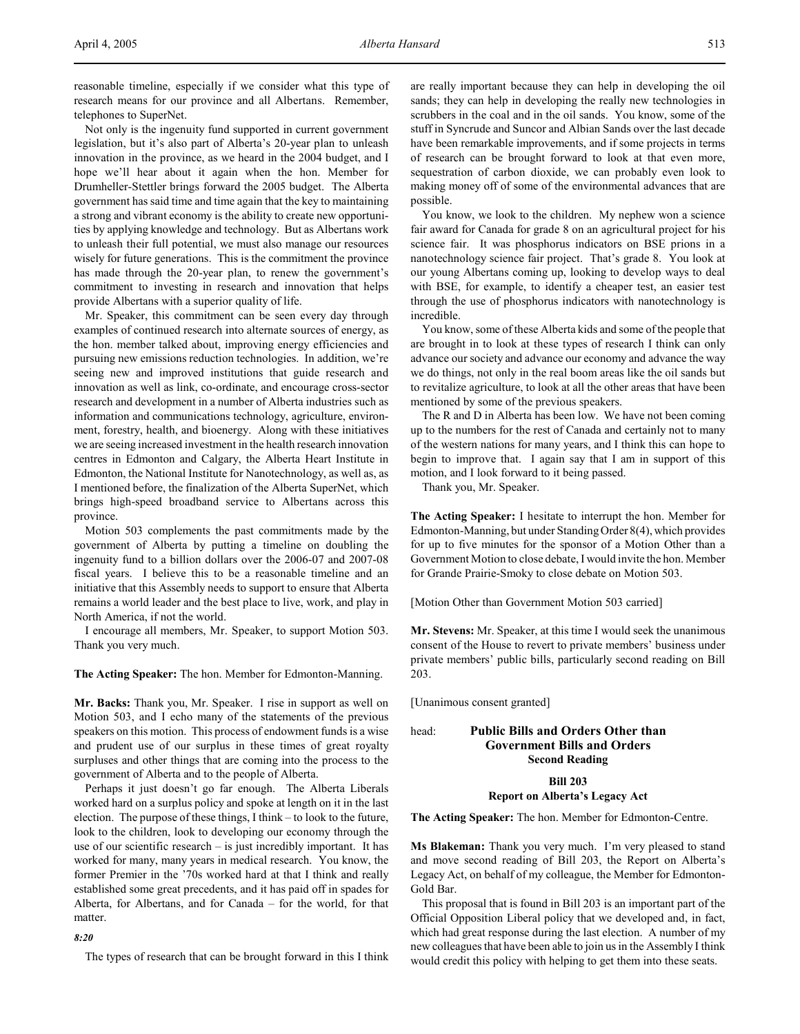reasonable timeline, especially if we consider what this type of research means for our province and all Albertans. Remember, telephones to SuperNet.

Not only is the ingenuity fund supported in current government legislation, but it's also part of Alberta's 20-year plan to unleash innovation in the province, as we heard in the 2004 budget, and I hope we'll hear about it again when the hon. Member for Drumheller-Stettler brings forward the 2005 budget. The Alberta government has said time and time again that the key to maintaining a strong and vibrant economy is the ability to create new opportunities by applying knowledge and technology. But as Albertans work to unleash their full potential, we must also manage our resources wisely for future generations. This is the commitment the province has made through the 20-year plan, to renew the government's commitment to investing in research and innovation that helps provide Albertans with a superior quality of life.

Mr. Speaker, this commitment can be seen every day through examples of continued research into alternate sources of energy, as the hon. member talked about, improving energy efficiencies and pursuing new emissions reduction technologies. In addition, we're seeing new and improved institutions that guide research and innovation as well as link, co-ordinate, and encourage cross-sector research and development in a number of Alberta industries such as information and communications technology, agriculture, environment, forestry, health, and bioenergy. Along with these initiatives we are seeing increased investment in the health research innovation centres in Edmonton and Calgary, the Alberta Heart Institute in Edmonton, the National Institute for Nanotechnology, as well as, as I mentioned before, the finalization of the Alberta SuperNet, which brings high-speed broadband service to Albertans across this province.

Motion 503 complements the past commitments made by the government of Alberta by putting a timeline on doubling the ingenuity fund to a billion dollars over the 2006-07 and 2007-08 fiscal years. I believe this to be a reasonable timeline and an initiative that this Assembly needs to support to ensure that Alberta remains a world leader and the best place to live, work, and play in North America, if not the world.

I encourage all members, Mr. Speaker, to support Motion 503. Thank you very much.

**The Acting Speaker:** The hon. Member for Edmonton-Manning.

**Mr. Backs:** Thank you, Mr. Speaker. I rise in support as well on Motion 503, and I echo many of the statements of the previous speakers on this motion. This process of endowment funds is a wise and prudent use of our surplus in these times of great royalty surpluses and other things that are coming into the process to the government of Alberta and to the people of Alberta.

Perhaps it just doesn't go far enough. The Alberta Liberals worked hard on a surplus policy and spoke at length on it in the last election. The purpose of these things, I think – to look to the future, look to the children, look to developing our economy through the use of our scientific research – is just incredibly important. It has worked for many, many years in medical research. You know, the former Premier in the '70s worked hard at that I think and really established some great precedents, and it has paid off in spades for Alberta, for Albertans, and for Canada – for the world, for that matter.

### *8:20*

The types of research that can be brought forward in this I think

are really important because they can help in developing the oil sands; they can help in developing the really new technologies in scrubbers in the coal and in the oil sands. You know, some of the stuff in Syncrude and Suncor and Albian Sands over the last decade have been remarkable improvements, and if some projects in terms of research can be brought forward to look at that even more, sequestration of carbon dioxide, we can probably even look to making money off of some of the environmental advances that are possible.

You know, we look to the children. My nephew won a science fair award for Canada for grade 8 on an agricultural project for his science fair. It was phosphorus indicators on BSE prions in a nanotechnology science fair project. That's grade 8. You look at our young Albertans coming up, looking to develop ways to deal with BSE, for example, to identify a cheaper test, an easier test through the use of phosphorus indicators with nanotechnology is incredible.

You know, some of these Alberta kids and some of the people that are brought in to look at these types of research I think can only advance our society and advance our economy and advance the way we do things, not only in the real boom areas like the oil sands but to revitalize agriculture, to look at all the other areas that have been mentioned by some of the previous speakers.

The R and D in Alberta has been low. We have not been coming up to the numbers for the rest of Canada and certainly not to many of the western nations for many years, and I think this can hope to begin to improve that. I again say that I am in support of this motion, and I look forward to it being passed.

Thank you, Mr. Speaker.

**The Acting Speaker:** I hesitate to interrupt the hon. Member for Edmonton-Manning, but under Standing Order 8(4), which provides for up to five minutes for the sponsor of a Motion Other than a Government Motion to close debate, I would invite the hon. Member for Grande Prairie-Smoky to close debate on Motion 503.

[Motion Other than Government Motion 503 carried]

**Mr. Stevens:** Mr. Speaker, at this time I would seek the unanimous consent of the House to revert to private members' business under private members' public bills, particularly second reading on Bill 203.

[Unanimous consent granted]

# head: **Public Bills and Orders Other than Government Bills and Orders Second Reading**

# **Bill 203**

# **Report on Alberta's Legacy Act**

**The Acting Speaker:** The hon. Member for Edmonton-Centre.

**Ms Blakeman:** Thank you very much. I'm very pleased to stand and move second reading of Bill 203, the Report on Alberta's Legacy Act, on behalf of my colleague, the Member for Edmonton-Gold Bar.

This proposal that is found in Bill 203 is an important part of the Official Opposition Liberal policy that we developed and, in fact, which had great response during the last election. A number of my new colleagues that have been able to join us in the Assembly I think would credit this policy with helping to get them into these seats.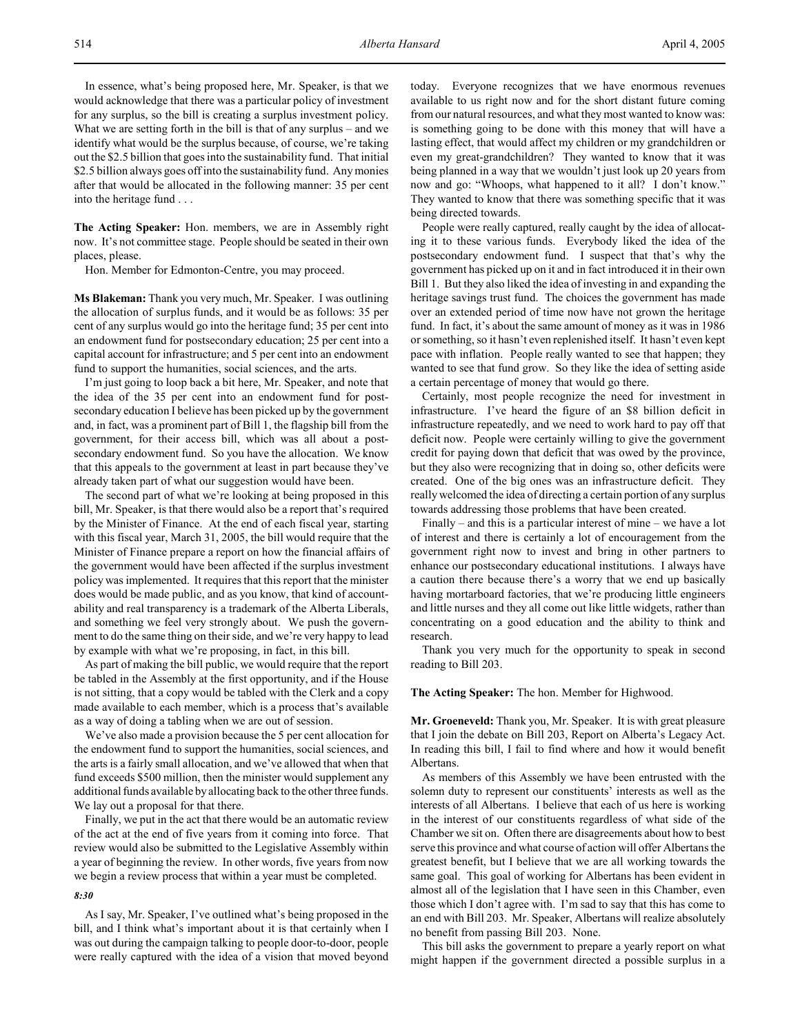In essence, what's being proposed here, Mr. Speaker, is that we would acknowledge that there was a particular policy of investment for any surplus, so the bill is creating a surplus investment policy. What we are setting forth in the bill is that of any surplus – and we identify what would be the surplus because, of course, we're taking out the \$2.5 billion that goes into the sustainability fund. That initial \$2.5 billion always goes off into the sustainability fund. Any monies after that would be allocated in the following manner: 35 per cent into the heritage fund . . .

**The Acting Speaker:** Hon. members, we are in Assembly right now. It's not committee stage. People should be seated in their own places, please.

Hon. Member for Edmonton-Centre, you may proceed.

**Ms Blakeman:** Thank you very much, Mr. Speaker. I was outlining the allocation of surplus funds, and it would be as follows: 35 per cent of any surplus would go into the heritage fund; 35 per cent into an endowment fund for postsecondary education; 25 per cent into a capital account for infrastructure; and 5 per cent into an endowment fund to support the humanities, social sciences, and the arts.

I'm just going to loop back a bit here, Mr. Speaker, and note that the idea of the 35 per cent into an endowment fund for postsecondary education I believe has been picked up by the government and, in fact, was a prominent part of Bill 1, the flagship bill from the government, for their access bill, which was all about a postsecondary endowment fund. So you have the allocation. We know that this appeals to the government at least in part because they've already taken part of what our suggestion would have been.

The second part of what we're looking at being proposed in this bill, Mr. Speaker, is that there would also be a report that's required by the Minister of Finance. At the end of each fiscal year, starting with this fiscal year, March 31, 2005, the bill would require that the Minister of Finance prepare a report on how the financial affairs of the government would have been affected if the surplus investment policy was implemented. It requires that this report that the minister does would be made public, and as you know, that kind of accountability and real transparency is a trademark of the Alberta Liberals, and something we feel very strongly about. We push the government to do the same thing on their side, and we're very happy to lead by example with what we're proposing, in fact, in this bill.

As part of making the bill public, we would require that the report be tabled in the Assembly at the first opportunity, and if the House is not sitting, that a copy would be tabled with the Clerk and a copy made available to each member, which is a process that's available as a way of doing a tabling when we are out of session.

We've also made a provision because the 5 per cent allocation for the endowment fund to support the humanities, social sciences, and the arts is a fairly small allocation, and we've allowed that when that fund exceeds \$500 million, then the minister would supplement any additional funds available by allocating back to the other three funds. We lay out a proposal for that there.

Finally, we put in the act that there would be an automatic review of the act at the end of five years from it coming into force. That review would also be submitted to the Legislative Assembly within a year of beginning the review. In other words, five years from now we begin a review process that within a year must be completed.

#### *8:30*

As I say, Mr. Speaker, I've outlined what's being proposed in the bill, and I think what's important about it is that certainly when I was out during the campaign talking to people door-to-door, people were really captured with the idea of a vision that moved beyond today. Everyone recognizes that we have enormous revenues available to us right now and for the short distant future coming from our natural resources, and what they most wanted to know was: is something going to be done with this money that will have a lasting effect, that would affect my children or my grandchildren or even my great-grandchildren? They wanted to know that it was being planned in a way that we wouldn't just look up 20 years from now and go: "Whoops, what happened to it all? I don't know." They wanted to know that there was something specific that it was being directed towards.

People were really captured, really caught by the idea of allocating it to these various funds. Everybody liked the idea of the postsecondary endowment fund. I suspect that that's why the government has picked up on it and in fact introduced it in their own Bill 1. But they also liked the idea of investing in and expanding the heritage savings trust fund. The choices the government has made over an extended period of time now have not grown the heritage fund. In fact, it's about the same amount of money as it was in 1986 or something, so it hasn't even replenished itself. It hasn't even kept pace with inflation. People really wanted to see that happen; they wanted to see that fund grow. So they like the idea of setting aside a certain percentage of money that would go there.

Certainly, most people recognize the need for investment in infrastructure. I've heard the figure of an \$8 billion deficit in infrastructure repeatedly, and we need to work hard to pay off that deficit now. People were certainly willing to give the government credit for paying down that deficit that was owed by the province, but they also were recognizing that in doing so, other deficits were created. One of the big ones was an infrastructure deficit. They really welcomed the idea of directing a certain portion of any surplus towards addressing those problems that have been created.

Finally – and this is a particular interest of mine – we have a lot of interest and there is certainly a lot of encouragement from the government right now to invest and bring in other partners to enhance our postsecondary educational institutions. I always have a caution there because there's a worry that we end up basically having mortarboard factories, that we're producing little engineers and little nurses and they all come out like little widgets, rather than concentrating on a good education and the ability to think and research.

Thank you very much for the opportunity to speak in second reading to Bill 203.

**The Acting Speaker:** The hon. Member for Highwood.

**Mr. Groeneveld:** Thank you, Mr. Speaker. It is with great pleasure that I join the debate on Bill 203, Report on Alberta's Legacy Act. In reading this bill, I fail to find where and how it would benefit Albertans.

As members of this Assembly we have been entrusted with the solemn duty to represent our constituents' interests as well as the interests of all Albertans. I believe that each of us here is working in the interest of our constituents regardless of what side of the Chamber we sit on. Often there are disagreements about how to best serve this province and what course of action will offer Albertans the greatest benefit, but I believe that we are all working towards the same goal. This goal of working for Albertans has been evident in almost all of the legislation that I have seen in this Chamber, even those which I don't agree with. I'm sad to say that this has come to an end with Bill 203. Mr. Speaker, Albertans will realize absolutely no benefit from passing Bill 203. None.

This bill asks the government to prepare a yearly report on what might happen if the government directed a possible surplus in a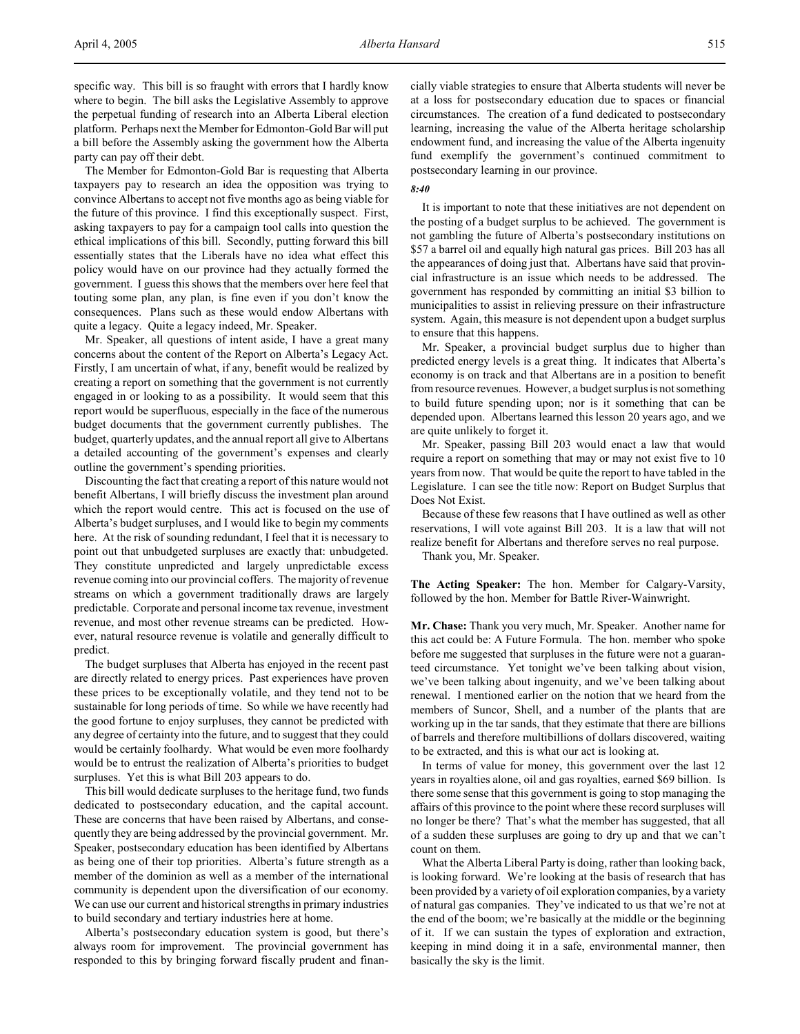specific way. This bill is so fraught with errors that I hardly know where to begin. The bill asks the Legislative Assembly to approve the perpetual funding of research into an Alberta Liberal election platform. Perhaps next the Member for Edmonton-Gold Bar will put a bill before the Assembly asking the government how the Alberta party can pay off their debt.

The Member for Edmonton-Gold Bar is requesting that Alberta taxpayers pay to research an idea the opposition was trying to convince Albertans to accept not five months ago as being viable for the future of this province. I find this exceptionally suspect. First, asking taxpayers to pay for a campaign tool calls into question the ethical implications of this bill. Secondly, putting forward this bill essentially states that the Liberals have no idea what effect this policy would have on our province had they actually formed the government. I guess this shows that the members over here feel that touting some plan, any plan, is fine even if you don't know the consequences. Plans such as these would endow Albertans with quite a legacy. Quite a legacy indeed, Mr. Speaker.

Mr. Speaker, all questions of intent aside, I have a great many concerns about the content of the Report on Alberta's Legacy Act. Firstly, I am uncertain of what, if any, benefit would be realized by creating a report on something that the government is not currently engaged in or looking to as a possibility. It would seem that this report would be superfluous, especially in the face of the numerous budget documents that the government currently publishes. The budget, quarterly updates, and the annual report all give to Albertans a detailed accounting of the government's expenses and clearly outline the government's spending priorities.

Discounting the fact that creating a report of this nature would not benefit Albertans, I will briefly discuss the investment plan around which the report would centre. This act is focused on the use of Alberta's budget surpluses, and I would like to begin my comments here. At the risk of sounding redundant, I feel that it is necessary to point out that unbudgeted surpluses are exactly that: unbudgeted. They constitute unpredicted and largely unpredictable excess revenue coming into our provincial coffers. The majority of revenue streams on which a government traditionally draws are largely predictable. Corporate and personal income tax revenue, investment revenue, and most other revenue streams can be predicted. However, natural resource revenue is volatile and generally difficult to predict.

The budget surpluses that Alberta has enjoyed in the recent past are directly related to energy prices. Past experiences have proven these prices to be exceptionally volatile, and they tend not to be sustainable for long periods of time. So while we have recently had the good fortune to enjoy surpluses, they cannot be predicted with any degree of certainty into the future, and to suggest that they could would be certainly foolhardy. What would be even more foolhardy would be to entrust the realization of Alberta's priorities to budget surpluses. Yet this is what Bill 203 appears to do.

This bill would dedicate surpluses to the heritage fund, two funds dedicated to postsecondary education, and the capital account. These are concerns that have been raised by Albertans, and consequently they are being addressed by the provincial government. Mr. Speaker, postsecondary education has been identified by Albertans as being one of their top priorities. Alberta's future strength as a member of the dominion as well as a member of the international community is dependent upon the diversification of our economy. We can use our current and historical strengths in primary industries to build secondary and tertiary industries here at home.

Alberta's postsecondary education system is good, but there's always room for improvement. The provincial government has responded to this by bringing forward fiscally prudent and financially viable strategies to ensure that Alberta students will never be at a loss for postsecondary education due to spaces or financial circumstances. The creation of a fund dedicated to postsecondary learning, increasing the value of the Alberta heritage scholarship endowment fund, and increasing the value of the Alberta ingenuity fund exemplify the government's continued commitment to postsecondary learning in our province.

### *8:40*

It is important to note that these initiatives are not dependent on the posting of a budget surplus to be achieved. The government is not gambling the future of Alberta's postsecondary institutions on \$57 a barrel oil and equally high natural gas prices. Bill 203 has all the appearances of doing just that. Albertans have said that provincial infrastructure is an issue which needs to be addressed. The government has responded by committing an initial \$3 billion to municipalities to assist in relieving pressure on their infrastructure system. Again, this measure is not dependent upon a budget surplus to ensure that this happens.

Mr. Speaker, a provincial budget surplus due to higher than predicted energy levels is a great thing. It indicates that Alberta's economy is on track and that Albertans are in a position to benefit from resource revenues. However, a budget surplus is not something to build future spending upon; nor is it something that can be depended upon. Albertans learned this lesson 20 years ago, and we are quite unlikely to forget it.

Mr. Speaker, passing Bill 203 would enact a law that would require a report on something that may or may not exist five to 10 years from now. That would be quite the report to have tabled in the Legislature. I can see the title now: Report on Budget Surplus that Does Not Exist.

Because of these few reasons that I have outlined as well as other reservations, I will vote against Bill 203. It is a law that will not realize benefit for Albertans and therefore serves no real purpose.

Thank you, Mr. Speaker.

**The Acting Speaker:** The hon. Member for Calgary-Varsity, followed by the hon. Member for Battle River-Wainwright.

**Mr. Chase:** Thank you very much, Mr. Speaker. Another name for this act could be: A Future Formula. The hon. member who spoke before me suggested that surpluses in the future were not a guaranteed circumstance. Yet tonight we've been talking about vision, we've been talking about ingenuity, and we've been talking about renewal. I mentioned earlier on the notion that we heard from the members of Suncor, Shell, and a number of the plants that are working up in the tar sands, that they estimate that there are billions of barrels and therefore multibillions of dollars discovered, waiting to be extracted, and this is what our act is looking at.

In terms of value for money, this government over the last 12 years in royalties alone, oil and gas royalties, earned \$69 billion. Is there some sense that this government is going to stop managing the affairs of this province to the point where these record surpluses will no longer be there? That's what the member has suggested, that all of a sudden these surpluses are going to dry up and that we can't count on them.

What the Alberta Liberal Party is doing, rather than looking back, is looking forward. We're looking at the basis of research that has been provided by a variety of oil exploration companies, by a variety of natural gas companies. They've indicated to us that we're not at the end of the boom; we're basically at the middle or the beginning of it. If we can sustain the types of exploration and extraction, keeping in mind doing it in a safe, environmental manner, then basically the sky is the limit.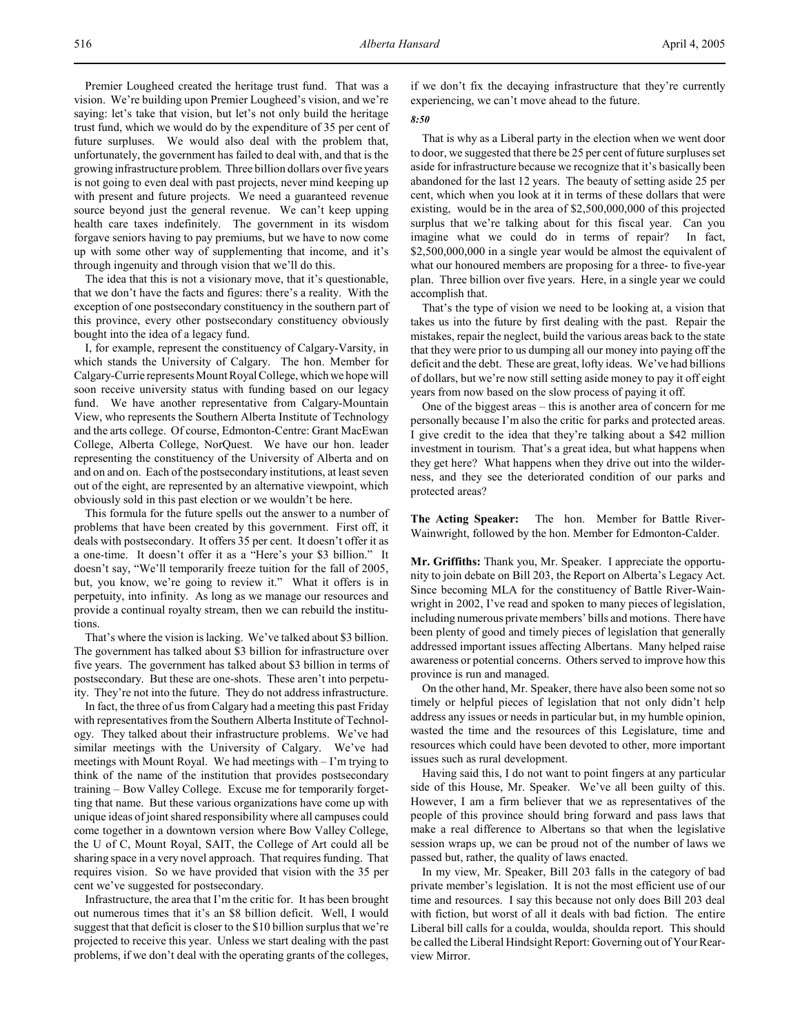Premier Lougheed created the heritage trust fund. That was a vision. We're building upon Premier Lougheed's vision, and we're saying: let's take that vision, but let's not only build the heritage trust fund, which we would do by the expenditure of 35 per cent of future surpluses. We would also deal with the problem that, unfortunately, the government has failed to deal with, and that is the growing infrastructure problem. Three billion dollars over five years is not going to even deal with past projects, never mind keeping up with present and future projects. We need a guaranteed revenue source beyond just the general revenue. We can't keep upping health care taxes indefinitely. The government in its wisdom forgave seniors having to pay premiums, but we have to now come up with some other way of supplementing that income, and it's through ingenuity and through vision that we'll do this.

The idea that this is not a visionary move, that it's questionable, that we don't have the facts and figures: there's a reality. With the exception of one postsecondary constituency in the southern part of this province, every other postsecondary constituency obviously bought into the idea of a legacy fund.

I, for example, represent the constituency of Calgary-Varsity, in which stands the University of Calgary. The hon. Member for Calgary-Currie represents Mount Royal College, which we hope will soon receive university status with funding based on our legacy fund. We have another representative from Calgary-Mountain View, who represents the Southern Alberta Institute of Technology and the arts college. Of course, Edmonton-Centre: Grant MacEwan College, Alberta College, NorQuest. We have our hon. leader representing the constituency of the University of Alberta and on and on and on. Each of the postsecondary institutions, at least seven out of the eight, are represented by an alternative viewpoint, which obviously sold in this past election or we wouldn't be here.

This formula for the future spells out the answer to a number of problems that have been created by this government. First off, it deals with postsecondary. It offers 35 per cent. It doesn't offer it as a one-time. It doesn't offer it as a "Here's your \$3 billion." It doesn't say, "We'll temporarily freeze tuition for the fall of 2005, but, you know, we're going to review it." What it offers is in perpetuity, into infinity. As long as we manage our resources and provide a continual royalty stream, then we can rebuild the institutions.

That's where the vision is lacking. We've talked about \$3 billion. The government has talked about \$3 billion for infrastructure over five years. The government has talked about \$3 billion in terms of postsecondary. But these are one-shots. These aren't into perpetuity. They're not into the future. They do not address infrastructure.

In fact, the three of us from Calgary had a meeting this past Friday with representatives from the Southern Alberta Institute of Technology. They talked about their infrastructure problems. We've had similar meetings with the University of Calgary. We've had meetings with Mount Royal. We had meetings with – I'm trying to think of the name of the institution that provides postsecondary training – Bow Valley College. Excuse me for temporarily forgetting that name. But these various organizations have come up with unique ideas of joint shared responsibility where all campuses could come together in a downtown version where Bow Valley College, the U of C, Mount Royal, SAIT, the College of Art could all be sharing space in a very novel approach. That requires funding. That requires vision. So we have provided that vision with the 35 per cent we've suggested for postsecondary.

Infrastructure, the area that I'm the critic for. It has been brought out numerous times that it's an \$8 billion deficit. Well, I would suggest that that deficit is closer to the \$10 billion surplus that we're projected to receive this year. Unless we start dealing with the past problems, if we don't deal with the operating grants of the colleges,

if we don't fix the decaying infrastructure that they're currently experiencing, we can't move ahead to the future.

## *8:50*

That is why as a Liberal party in the election when we went door to door, we suggested that there be 25 per cent of future surpluses set aside for infrastructure because we recognize that it's basically been abandoned for the last 12 years. The beauty of setting aside 25 per cent, which when you look at it in terms of these dollars that were existing, would be in the area of \$2,500,000,000 of this projected surplus that we're talking about for this fiscal year. Can you imagine what we could do in terms of repair? In fact, \$2,500,000,000 in a single year would be almost the equivalent of what our honoured members are proposing for a three- to five-year plan. Three billion over five years. Here, in a single year we could accomplish that.

That's the type of vision we need to be looking at, a vision that takes us into the future by first dealing with the past. Repair the mistakes, repair the neglect, build the various areas back to the state that they were prior to us dumping all our money into paying off the deficit and the debt. These are great, lofty ideas. We've had billions of dollars, but we're now still setting aside money to pay it off eight years from now based on the slow process of paying it off.

One of the biggest areas – this is another area of concern for me personally because I'm also the critic for parks and protected areas. I give credit to the idea that they're talking about a \$42 million investment in tourism. That's a great idea, but what happens when they get here? What happens when they drive out into the wilderness, and they see the deteriorated condition of our parks and protected areas?

**The Acting Speaker:** The hon. Member for Battle River-Wainwright, followed by the hon. Member for Edmonton-Calder.

**Mr. Griffiths:** Thank you, Mr. Speaker. I appreciate the opportunity to join debate on Bill 203, the Report on Alberta's Legacy Act. Since becoming MLA for the constituency of Battle River-Wainwright in 2002, I've read and spoken to many pieces of legislation, including numerous private members' bills and motions. There have been plenty of good and timely pieces of legislation that generally addressed important issues affecting Albertans. Many helped raise awareness or potential concerns. Others served to improve how this province is run and managed.

On the other hand, Mr. Speaker, there have also been some not so timely or helpful pieces of legislation that not only didn't help address any issues or needs in particular but, in my humble opinion, wasted the time and the resources of this Legislature, time and resources which could have been devoted to other, more important issues such as rural development.

Having said this, I do not want to point fingers at any particular side of this House, Mr. Speaker. We've all been guilty of this. However, I am a firm believer that we as representatives of the people of this province should bring forward and pass laws that make a real difference to Albertans so that when the legislative session wraps up, we can be proud not of the number of laws we passed but, rather, the quality of laws enacted.

In my view, Mr. Speaker, Bill 203 falls in the category of bad private member's legislation. It is not the most efficient use of our time and resources. I say this because not only does Bill 203 deal with fiction, but worst of all it deals with bad fiction. The entire Liberal bill calls for a coulda, woulda, shoulda report. This should be called the Liberal Hindsight Report: Governing out of Your Rearview Mirror.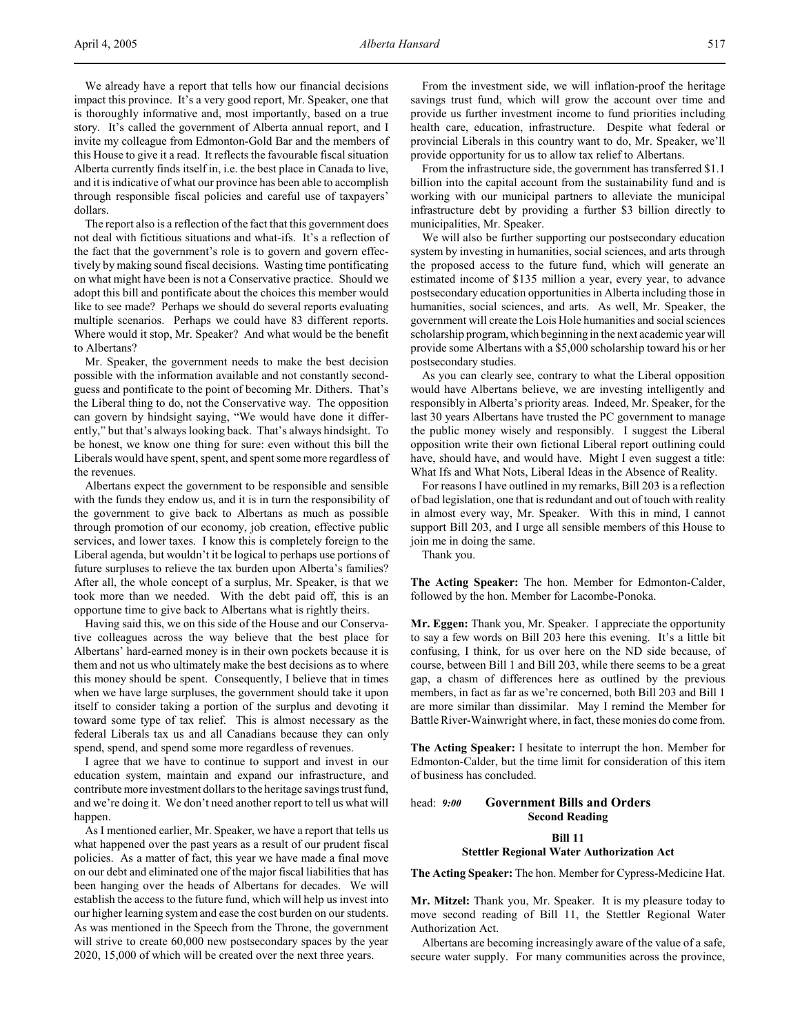We already have a report that tells how our financial decisions impact this province. It's a very good report, Mr. Speaker, one that is thoroughly informative and, most importantly, based on a true story. It's called the government of Alberta annual report, and I invite my colleague from Edmonton-Gold Bar and the members of this House to give it a read. It reflects the favourable fiscal situation Alberta currently finds itself in, i.e. the best place in Canada to live, and it is indicative of what our province has been able to accomplish through responsible fiscal policies and careful use of taxpayers' dollars.

The report also is a reflection of the fact that this government does not deal with fictitious situations and what-ifs. It's a reflection of the fact that the government's role is to govern and govern effectively by making sound fiscal decisions. Wasting time pontificating on what might have been is not a Conservative practice. Should we adopt this bill and pontificate about the choices this member would like to see made? Perhaps we should do several reports evaluating multiple scenarios. Perhaps we could have 83 different reports. Where would it stop, Mr. Speaker? And what would be the benefit to Albertans?

Mr. Speaker, the government needs to make the best decision possible with the information available and not constantly secondguess and pontificate to the point of becoming Mr. Dithers. That's the Liberal thing to do, not the Conservative way. The opposition can govern by hindsight saying, "We would have done it differently," but that's always looking back. That's always hindsight. To be honest, we know one thing for sure: even without this bill the Liberals would have spent, spent, and spent some more regardless of the revenues.

Albertans expect the government to be responsible and sensible with the funds they endow us, and it is in turn the responsibility of the government to give back to Albertans as much as possible through promotion of our economy, job creation, effective public services, and lower taxes. I know this is completely foreign to the Liberal agenda, but wouldn't it be logical to perhaps use portions of future surpluses to relieve the tax burden upon Alberta's families? After all, the whole concept of a surplus, Mr. Speaker, is that we took more than we needed. With the debt paid off, this is an opportune time to give back to Albertans what is rightly theirs.

Having said this, we on this side of the House and our Conservative colleagues across the way believe that the best place for Albertans' hard-earned money is in their own pockets because it is them and not us who ultimately make the best decisions as to where this money should be spent. Consequently, I believe that in times when we have large surpluses, the government should take it upon itself to consider taking a portion of the surplus and devoting it toward some type of tax relief. This is almost necessary as the federal Liberals tax us and all Canadians because they can only spend, spend, and spend some more regardless of revenues.

I agree that we have to continue to support and invest in our education system, maintain and expand our infrastructure, and contribute more investment dollars to the heritage savings trust fund, and we're doing it. We don't need another report to tell us what will happen.

As I mentioned earlier, Mr. Speaker, we have a report that tells us what happened over the past years as a result of our prudent fiscal policies. As a matter of fact, this year we have made a final move on our debt and eliminated one of the major fiscal liabilities that has been hanging over the heads of Albertans for decades. We will establish the access to the future fund, which will help us invest into our higher learning system and ease the cost burden on our students. As was mentioned in the Speech from the Throne, the government will strive to create 60,000 new postsecondary spaces by the year 2020, 15,000 of which will be created over the next three years.

From the investment side, we will inflation-proof the heritage savings trust fund, which will grow the account over time and provide us further investment income to fund priorities including health care, education, infrastructure. Despite what federal or provincial Liberals in this country want to do, Mr. Speaker, we'll provide opportunity for us to allow tax relief to Albertans.

From the infrastructure side, the government has transferred \$1.1 billion into the capital account from the sustainability fund and is working with our municipal partners to alleviate the municipal infrastructure debt by providing a further \$3 billion directly to municipalities, Mr. Speaker.

We will also be further supporting our postsecondary education system by investing in humanities, social sciences, and arts through the proposed access to the future fund, which will generate an estimated income of \$135 million a year, every year, to advance postsecondary education opportunities in Alberta including those in humanities, social sciences, and arts. As well, Mr. Speaker, the government will create the Lois Hole humanities and social sciences scholarship program, which beginning in the next academic year will provide some Albertans with a \$5,000 scholarship toward his or her postsecondary studies.

As you can clearly see, contrary to what the Liberal opposition would have Albertans believe, we are investing intelligently and responsibly in Alberta's priority areas. Indeed, Mr. Speaker, for the last 30 years Albertans have trusted the PC government to manage the public money wisely and responsibly. I suggest the Liberal opposition write their own fictional Liberal report outlining could have, should have, and would have. Might I even suggest a title: What Ifs and What Nots, Liberal Ideas in the Absence of Reality.

For reasons I have outlined in my remarks, Bill 203 is a reflection of bad legislation, one that is redundant and out of touch with reality in almost every way, Mr. Speaker. With this in mind, I cannot support Bill 203, and I urge all sensible members of this House to join me in doing the same.

Thank you.

**The Acting Speaker:** The hon. Member for Edmonton-Calder, followed by the hon. Member for Lacombe-Ponoka.

**Mr. Eggen:** Thank you, Mr. Speaker. I appreciate the opportunity to say a few words on Bill 203 here this evening. It's a little bit confusing, I think, for us over here on the ND side because, of course, between Bill 1 and Bill 203, while there seems to be a great gap, a chasm of differences here as outlined by the previous members, in fact as far as we're concerned, both Bill 203 and Bill 1 are more similar than dissimilar. May I remind the Member for Battle River-Wainwright where, in fact, these monies do come from.

**The Acting Speaker:** I hesitate to interrupt the hon. Member for Edmonton-Calder, but the time limit for consideration of this item of business has concluded.

# head: *9:00* **Government Bills and Orders Second Reading**

**Bill 11**

## **Stettler Regional Water Authorization Act**

**The Acting Speaker:** The hon. Member for Cypress-Medicine Hat.

**Mr. Mitzel:** Thank you, Mr. Speaker. It is my pleasure today to move second reading of Bill 11, the Stettler Regional Water Authorization Act.

Albertans are becoming increasingly aware of the value of a safe, secure water supply. For many communities across the province,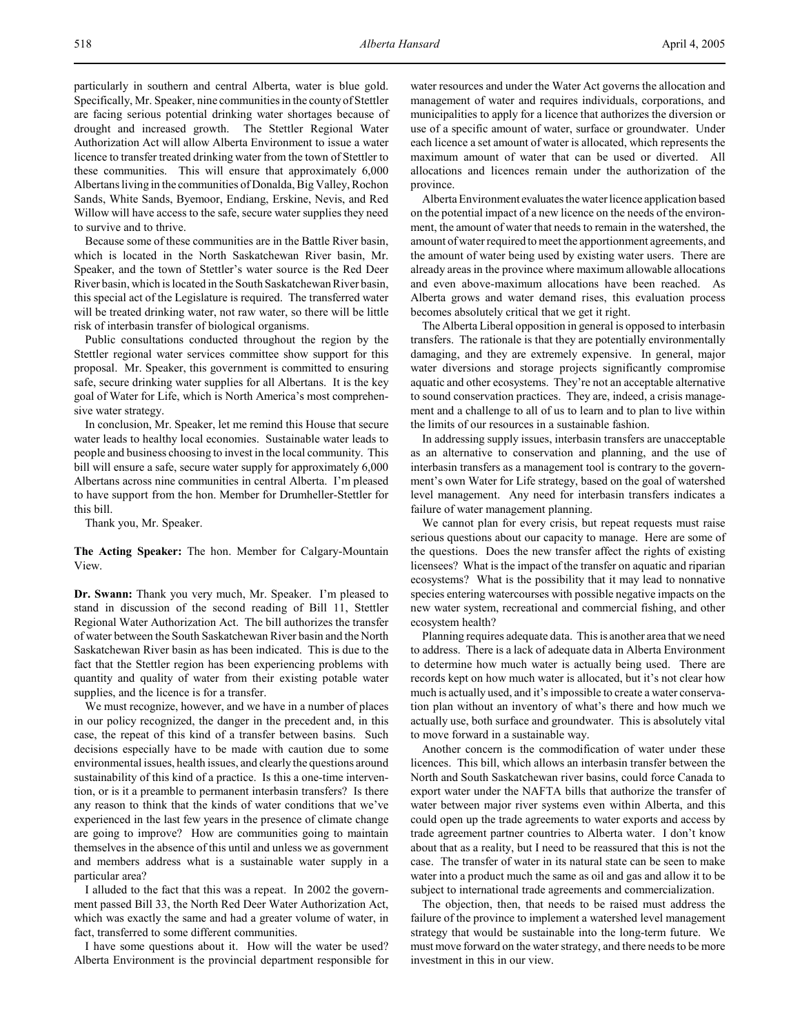particularly in southern and central Alberta, water is blue gold. Specifically, Mr. Speaker, nine communities in the county of Stettler are facing serious potential drinking water shortages because of drought and increased growth. The Stettler Regional Water Authorization Act will allow Alberta Environment to issue a water licence to transfer treated drinking water from the town of Stettler to these communities. This will ensure that approximately 6,000 Albertans living in the communities of Donalda, Big Valley, Rochon Sands, White Sands, Byemoor, Endiang, Erskine, Nevis, and Red Willow will have access to the safe, secure water supplies they need

Because some of these communities are in the Battle River basin, which is located in the North Saskatchewan River basin, Mr. Speaker, and the town of Stettler's water source is the Red Deer River basin, which is located in the South Saskatchewan River basin, this special act of the Legislature is required. The transferred water will be treated drinking water, not raw water, so there will be little risk of interbasin transfer of biological organisms.

Public consultations conducted throughout the region by the Stettler regional water services committee show support for this proposal. Mr. Speaker, this government is committed to ensuring safe, secure drinking water supplies for all Albertans. It is the key goal of Water for Life, which is North America's most comprehensive water strategy.

In conclusion, Mr. Speaker, let me remind this House that secure water leads to healthy local economies. Sustainable water leads to people and business choosing to invest in the local community. This bill will ensure a safe, secure water supply for approximately 6,000 Albertans across nine communities in central Alberta. I'm pleased to have support from the hon. Member for Drumheller-Stettler for this bill.

Thank you, Mr. Speaker.

to survive and to thrive.

**The Acting Speaker:** The hon. Member for Calgary-Mountain View.

**Dr. Swann:** Thank you very much, Mr. Speaker. I'm pleased to stand in discussion of the second reading of Bill 11, Stettler Regional Water Authorization Act. The bill authorizes the transfer of water between the South Saskatchewan River basin and the North Saskatchewan River basin as has been indicated. This is due to the fact that the Stettler region has been experiencing problems with quantity and quality of water from their existing potable water supplies, and the licence is for a transfer.

We must recognize, however, and we have in a number of places in our policy recognized, the danger in the precedent and, in this case, the repeat of this kind of a transfer between basins. Such decisions especially have to be made with caution due to some environmental issues, health issues, and clearly the questions around sustainability of this kind of a practice. Is this a one-time intervention, or is it a preamble to permanent interbasin transfers? Is there any reason to think that the kinds of water conditions that we've experienced in the last few years in the presence of climate change are going to improve? How are communities going to maintain themselves in the absence of this until and unless we as government and members address what is a sustainable water supply in a particular area?

I alluded to the fact that this was a repeat. In 2002 the government passed Bill 33, the North Red Deer Water Authorization Act, which was exactly the same and had a greater volume of water, in fact, transferred to some different communities.

I have some questions about it. How will the water be used? Alberta Environment is the provincial department responsible for water resources and under the Water Act governs the allocation and management of water and requires individuals, corporations, and municipalities to apply for a licence that authorizes the diversion or use of a specific amount of water, surface or groundwater. Under each licence a set amount of water is allocated, which represents the maximum amount of water that can be used or diverted. All allocations and licences remain under the authorization of the province.

Alberta Environment evaluates the water licence application based on the potential impact of a new licence on the needs of the environment, the amount of water that needs to remain in the watershed, the amount of water required to meet the apportionment agreements, and the amount of water being used by existing water users. There are already areas in the province where maximum allowable allocations and even above-maximum allocations have been reached. As Alberta grows and water demand rises, this evaluation process becomes absolutely critical that we get it right.

The Alberta Liberal opposition in general is opposed to interbasin transfers. The rationale is that they are potentially environmentally damaging, and they are extremely expensive. In general, major water diversions and storage projects significantly compromise aquatic and other ecosystems. They're not an acceptable alternative to sound conservation practices. They are, indeed, a crisis management and a challenge to all of us to learn and to plan to live within the limits of our resources in a sustainable fashion.

In addressing supply issues, interbasin transfers are unacceptable as an alternative to conservation and planning, and the use of interbasin transfers as a management tool is contrary to the government's own Water for Life strategy, based on the goal of watershed level management. Any need for interbasin transfers indicates a failure of water management planning.

We cannot plan for every crisis, but repeat requests must raise serious questions about our capacity to manage. Here are some of the questions. Does the new transfer affect the rights of existing licensees? What is the impact of the transfer on aquatic and riparian ecosystems? What is the possibility that it may lead to nonnative species entering watercourses with possible negative impacts on the new water system, recreational and commercial fishing, and other ecosystem health?

Planning requires adequate data. This is another area that we need to address. There is a lack of adequate data in Alberta Environment to determine how much water is actually being used. There are records kept on how much water is allocated, but it's not clear how much is actually used, and it's impossible to create a water conservation plan without an inventory of what's there and how much we actually use, both surface and groundwater. This is absolutely vital to move forward in a sustainable way.

Another concern is the commodification of water under these licences. This bill, which allows an interbasin transfer between the North and South Saskatchewan river basins, could force Canada to export water under the NAFTA bills that authorize the transfer of water between major river systems even within Alberta, and this could open up the trade agreements to water exports and access by trade agreement partner countries to Alberta water. I don't know about that as a reality, but I need to be reassured that this is not the case. The transfer of water in its natural state can be seen to make water into a product much the same as oil and gas and allow it to be subject to international trade agreements and commercialization.

The objection, then, that needs to be raised must address the failure of the province to implement a watershed level management strategy that would be sustainable into the long-term future. We must move forward on the water strategy, and there needs to be more investment in this in our view.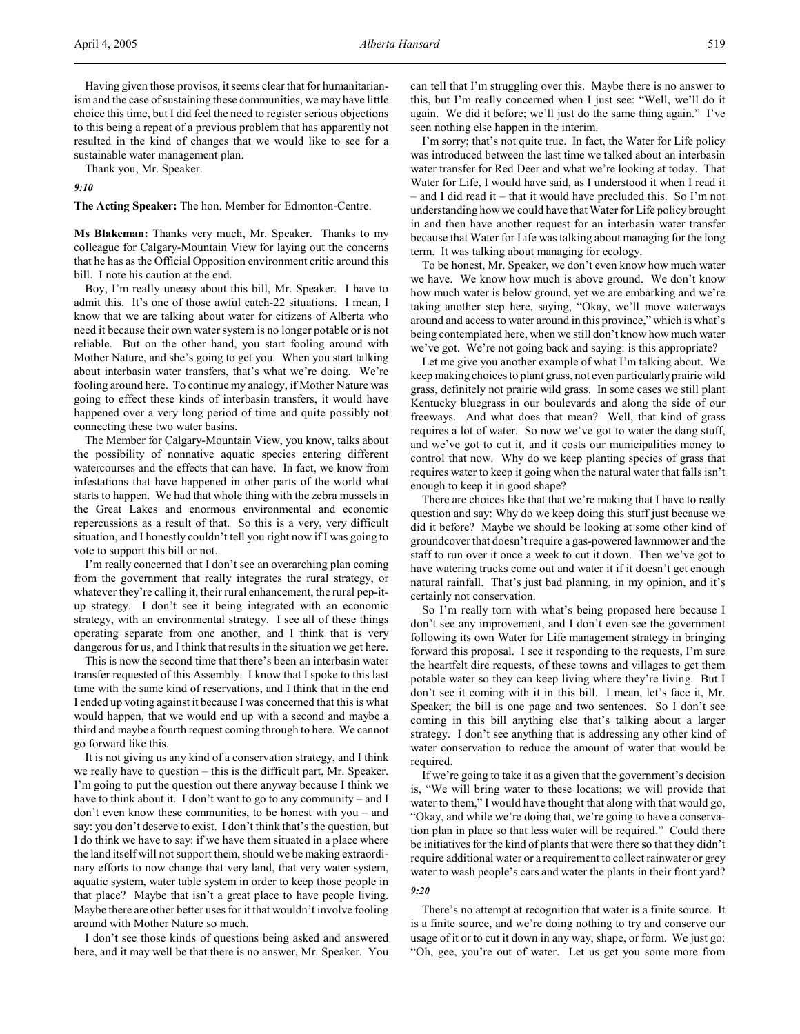Having given those provisos, it seems clear that for humanitarianism and the case of sustaining these communities, we may have little choice this time, but I did feel the need to register serious objections to this being a repeat of a previous problem that has apparently not resulted in the kind of changes that we would like to see for a sustainable water management plan.

Thank you, Mr. Speaker.

### *9:10*

**The Acting Speaker:** The hon. Member for Edmonton-Centre.

**Ms Blakeman:** Thanks very much, Mr. Speaker. Thanks to my colleague for Calgary-Mountain View for laying out the concerns that he has as the Official Opposition environment critic around this bill. I note his caution at the end.

Boy, I'm really uneasy about this bill, Mr. Speaker. I have to admit this. It's one of those awful catch-22 situations. I mean, I know that we are talking about water for citizens of Alberta who need it because their own water system is no longer potable or is not reliable. But on the other hand, you start fooling around with Mother Nature, and she's going to get you. When you start talking about interbasin water transfers, that's what we're doing. We're fooling around here. To continue my analogy, if Mother Nature was going to effect these kinds of interbasin transfers, it would have happened over a very long period of time and quite possibly not connecting these two water basins.

The Member for Calgary-Mountain View, you know, talks about the possibility of nonnative aquatic species entering different watercourses and the effects that can have. In fact, we know from infestations that have happened in other parts of the world what starts to happen. We had that whole thing with the zebra mussels in the Great Lakes and enormous environmental and economic repercussions as a result of that. So this is a very, very difficult situation, and I honestly couldn't tell you right now if I was going to vote to support this bill or not.

I'm really concerned that I don't see an overarching plan coming from the government that really integrates the rural strategy, or whatever they're calling it, their rural enhancement, the rural pep-itup strategy. I don't see it being integrated with an economic strategy, with an environmental strategy. I see all of these things operating separate from one another, and I think that is very dangerous for us, and I think that results in the situation we get here.

This is now the second time that there's been an interbasin water transfer requested of this Assembly. I know that I spoke to this last time with the same kind of reservations, and I think that in the end I ended up voting against it because I was concerned that this is what would happen, that we would end up with a second and maybe a third and maybe a fourth request coming through to here. We cannot go forward like this.

It is not giving us any kind of a conservation strategy, and I think we really have to question – this is the difficult part, Mr. Speaker. I'm going to put the question out there anyway because I think we have to think about it. I don't want to go to any community – and I don't even know these communities, to be honest with you – and say: you don't deserve to exist. I don't think that's the question, but I do think we have to say: if we have them situated in a place where the land itself will not support them, should we be making extraordinary efforts to now change that very land, that very water system, aquatic system, water table system in order to keep those people in that place? Maybe that isn't a great place to have people living. Maybe there are other better uses for it that wouldn't involve fooling around with Mother Nature so much.

I don't see those kinds of questions being asked and answered here, and it may well be that there is no answer, Mr. Speaker. You can tell that I'm struggling over this. Maybe there is no answer to this, but I'm really concerned when I just see: "Well, we'll do it again. We did it before; we'll just do the same thing again." I've seen nothing else happen in the interim.

I'm sorry; that's not quite true. In fact, the Water for Life policy was introduced between the last time we talked about an interbasin water transfer for Red Deer and what we're looking at today. That Water for Life, I would have said, as I understood it when I read it – and I did read it – that it would have precluded this. So I'm not understanding how we could have that Water for Life policy brought in and then have another request for an interbasin water transfer because that Water for Life was talking about managing for the long term. It was talking about managing for ecology.

To be honest, Mr. Speaker, we don't even know how much water we have. We know how much is above ground. We don't know how much water is below ground, yet we are embarking and we're taking another step here, saying, "Okay, we'll move waterways around and access to water around in this province," which is what's being contemplated here, when we still don't know how much water we've got. We're not going back and saying: is this appropriate?

Let me give you another example of what I'm talking about. We keep making choices to plant grass, not even particularly prairie wild grass, definitely not prairie wild grass. In some cases we still plant Kentucky bluegrass in our boulevards and along the side of our freeways. And what does that mean? Well, that kind of grass requires a lot of water. So now we've got to water the dang stuff, and we've got to cut it, and it costs our municipalities money to control that now. Why do we keep planting species of grass that requires water to keep it going when the natural water that falls isn't enough to keep it in good shape?

There are choices like that that we're making that I have to really question and say: Why do we keep doing this stuff just because we did it before? Maybe we should be looking at some other kind of groundcover that doesn't require a gas-powered lawnmower and the staff to run over it once a week to cut it down. Then we've got to have watering trucks come out and water it if it doesn't get enough natural rainfall. That's just bad planning, in my opinion, and it's certainly not conservation.

So I'm really torn with what's being proposed here because I don't see any improvement, and I don't even see the government following its own Water for Life management strategy in bringing forward this proposal. I see it responding to the requests, I'm sure the heartfelt dire requests, of these towns and villages to get them potable water so they can keep living where they're living. But I don't see it coming with it in this bill. I mean, let's face it, Mr. Speaker; the bill is one page and two sentences. So I don't see coming in this bill anything else that's talking about a larger strategy. I don't see anything that is addressing any other kind of water conservation to reduce the amount of water that would be required.

If we're going to take it as a given that the government's decision is, "We will bring water to these locations; we will provide that water to them," I would have thought that along with that would go, "Okay, and while we're doing that, we're going to have a conservation plan in place so that less water will be required." Could there be initiatives for the kind of plants that were there so that they didn't require additional water or a requirement to collect rainwater or grey water to wash people's cars and water the plants in their front yard?

### *9:20*

There's no attempt at recognition that water is a finite source. It is a finite source, and we're doing nothing to try and conserve our usage of it or to cut it down in any way, shape, or form. We just go: "Oh, gee, you're out of water. Let us get you some more from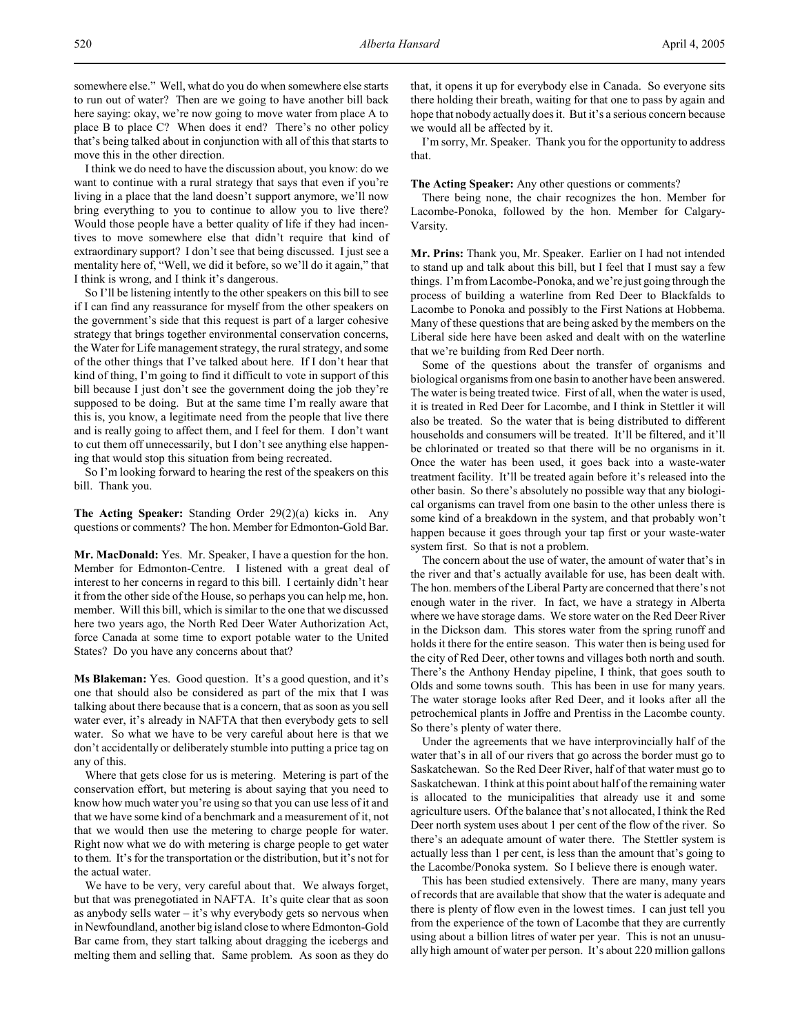I think we do need to have the discussion about, you know: do we want to continue with a rural strategy that says that even if you're living in a place that the land doesn't support anymore, we'll now bring everything to you to continue to allow you to live there? Would those people have a better quality of life if they had incentives to move somewhere else that didn't require that kind of extraordinary support? I don't see that being discussed. I just see a mentality here of, "Well, we did it before, so we'll do it again," that I think is wrong, and I think it's dangerous.

So I'll be listening intently to the other speakers on this bill to see if I can find any reassurance for myself from the other speakers on the government's side that this request is part of a larger cohesive strategy that brings together environmental conservation concerns, the Water for Life management strategy, the rural strategy, and some of the other things that I've talked about here. If I don't hear that kind of thing, I'm going to find it difficult to vote in support of this bill because I just don't see the government doing the job they're supposed to be doing. But at the same time I'm really aware that this is, you know, a legitimate need from the people that live there and is really going to affect them, and I feel for them. I don't want to cut them off unnecessarily, but I don't see anything else happening that would stop this situation from being recreated.

So I'm looking forward to hearing the rest of the speakers on this bill. Thank you.

**The Acting Speaker:** Standing Order 29(2)(a) kicks in. Any questions or comments? The hon. Member for Edmonton-Gold Bar.

**Mr. MacDonald:** Yes. Mr. Speaker, I have a question for the hon. Member for Edmonton-Centre. I listened with a great deal of interest to her concerns in regard to this bill. I certainly didn't hear it from the other side of the House, so perhaps you can help me, hon. member. Will this bill, which is similar to the one that we discussed here two years ago, the North Red Deer Water Authorization Act, force Canada at some time to export potable water to the United States? Do you have any concerns about that?

**Ms Blakeman:** Yes. Good question. It's a good question, and it's one that should also be considered as part of the mix that I was talking about there because that is a concern, that as soon as you sell water ever, it's already in NAFTA that then everybody gets to sell water. So what we have to be very careful about here is that we don't accidentally or deliberately stumble into putting a price tag on any of this.

Where that gets close for us is metering. Metering is part of the conservation effort, but metering is about saying that you need to know how much water you're using so that you can use less of it and that we have some kind of a benchmark and a measurement of it, not that we would then use the metering to charge people for water. Right now what we do with metering is charge people to get water to them. It's for the transportation or the distribution, but it's not for the actual water.

We have to be very, very careful about that. We always forget, but that was prenegotiated in NAFTA. It's quite clear that as soon as anybody sells water  $-$  it's why everybody gets so nervous when in Newfoundland, another big island close to where Edmonton-Gold Bar came from, they start talking about dragging the icebergs and melting them and selling that. Same problem. As soon as they do

that, it opens it up for everybody else in Canada. So everyone sits there holding their breath, waiting for that one to pass by again and hope that nobody actually does it. But it's a serious concern because we would all be affected by it.

I'm sorry, Mr. Speaker. Thank you for the opportunity to address that.

**The Acting Speaker:** Any other questions or comments?

There being none, the chair recognizes the hon. Member for Lacombe-Ponoka, followed by the hon. Member for Calgary-Varsity.

**Mr. Prins:** Thank you, Mr. Speaker. Earlier on I had not intended to stand up and talk about this bill, but I feel that I must say a few things. I'm from Lacombe-Ponoka, and we're just going through the process of building a waterline from Red Deer to Blackfalds to Lacombe to Ponoka and possibly to the First Nations at Hobbema. Many of these questions that are being asked by the members on the Liberal side here have been asked and dealt with on the waterline that we're building from Red Deer north.

Some of the questions about the transfer of organisms and biological organisms from one basin to another have been answered. The water is being treated twice. First of all, when the water is used, it is treated in Red Deer for Lacombe, and I think in Stettler it will also be treated. So the water that is being distributed to different households and consumers will be treated. It'll be filtered, and it'll be chlorinated or treated so that there will be no organisms in it. Once the water has been used, it goes back into a waste-water treatment facility. It'll be treated again before it's released into the other basin. So there's absolutely no possible way that any biological organisms can travel from one basin to the other unless there is some kind of a breakdown in the system, and that probably won't happen because it goes through your tap first or your waste-water system first. So that is not a problem.

The concern about the use of water, the amount of water that's in the river and that's actually available for use, has been dealt with. The hon. members of the Liberal Party are concerned that there's not enough water in the river. In fact, we have a strategy in Alberta where we have storage dams. We store water on the Red Deer River in the Dickson dam. This stores water from the spring runoff and holds it there for the entire season. This water then is being used for the city of Red Deer, other towns and villages both north and south. There's the Anthony Henday pipeline, I think, that goes south to Olds and some towns south. This has been in use for many years. The water storage looks after Red Deer, and it looks after all the petrochemical plants in Joffre and Prentiss in the Lacombe county. So there's plenty of water there.

Under the agreements that we have interprovincially half of the water that's in all of our rivers that go across the border must go to Saskatchewan. So the Red Deer River, half of that water must go to Saskatchewan. I think at this point about half of the remaining water is allocated to the municipalities that already use it and some agriculture users. Of the balance that's not allocated, I think the Red Deer north system uses about 1 per cent of the flow of the river. So there's an adequate amount of water there. The Stettler system is actually less than 1 per cent, is less than the amount that's going to the Lacombe/Ponoka system. So I believe there is enough water.

This has been studied extensively. There are many, many years of records that are available that show that the water is adequate and there is plenty of flow even in the lowest times. I can just tell you from the experience of the town of Lacombe that they are currently using about a billion litres of water per year. This is not an unusually high amount of water per person. It's about 220 million gallons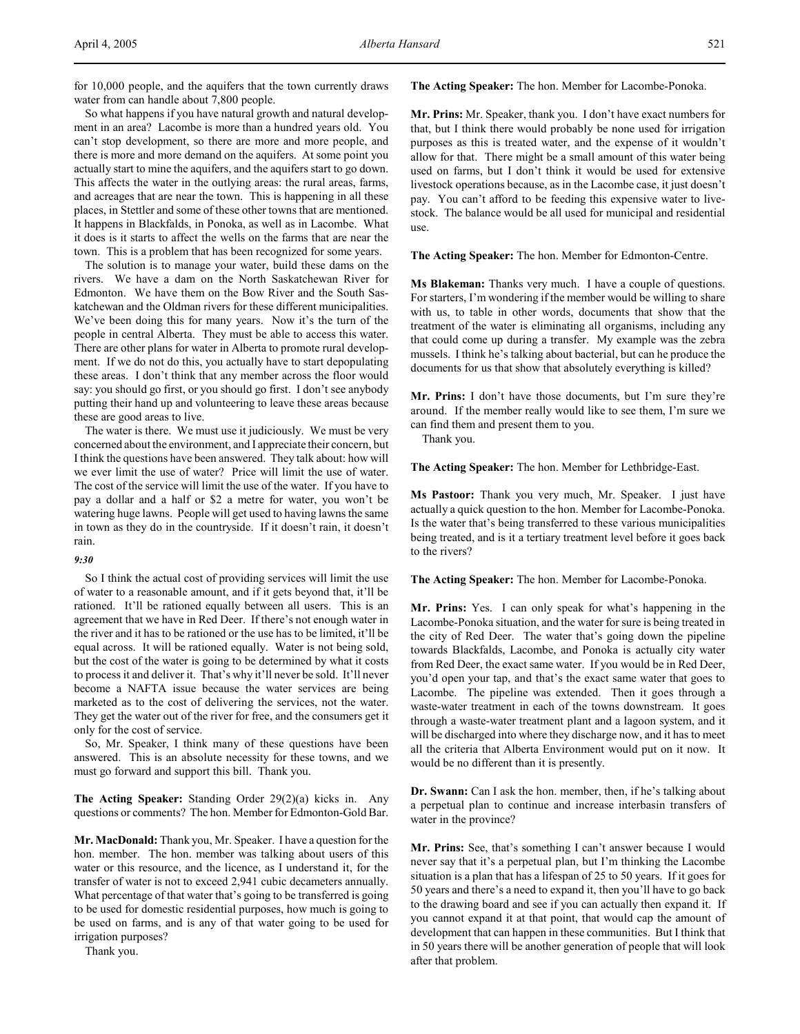for 10,000 people, and the aquifers that the town currently draws water from can handle about 7,800 people.

So what happens if you have natural growth and natural development in an area? Lacombe is more than a hundred years old. You can't stop development, so there are more and more people, and there is more and more demand on the aquifers. At some point you actually start to mine the aquifers, and the aquifers start to go down. This affects the water in the outlying areas: the rural areas, farms, and acreages that are near the town. This is happening in all these places, in Stettler and some of these other towns that are mentioned. It happens in Blackfalds, in Ponoka, as well as in Lacombe. What it does is it starts to affect the wells on the farms that are near the town. This is a problem that has been recognized for some years.

The solution is to manage your water, build these dams on the rivers. We have a dam on the North Saskatchewan River for Edmonton. We have them on the Bow River and the South Saskatchewan and the Oldman rivers for these different municipalities. We've been doing this for many years. Now it's the turn of the people in central Alberta. They must be able to access this water. There are other plans for water in Alberta to promote rural development. If we do not do this, you actually have to start depopulating these areas. I don't think that any member across the floor would say: you should go first, or you should go first. I don't see anybody putting their hand up and volunteering to leave these areas because these are good areas to live.

The water is there. We must use it judiciously. We must be very concerned about the environment, and I appreciate their concern, but I think the questions have been answered. They talk about: how will we ever limit the use of water? Price will limit the use of water. The cost of the service will limit the use of the water. If you have to pay a dollar and a half or \$2 a metre for water, you won't be watering huge lawns. People will get used to having lawns the same in town as they do in the countryside. If it doesn't rain, it doesn't rain.

## *9:30*

So I think the actual cost of providing services will limit the use of water to a reasonable amount, and if it gets beyond that, it'll be rationed. It'll be rationed equally between all users. This is an agreement that we have in Red Deer. If there's not enough water in the river and it has to be rationed or the use has to be limited, it'll be equal across. It will be rationed equally. Water is not being sold, but the cost of the water is going to be determined by what it costs to process it and deliver it. That's why it'll never be sold. It'll never become a NAFTA issue because the water services are being marketed as to the cost of delivering the services, not the water. They get the water out of the river for free, and the consumers get it only for the cost of service.

So, Mr. Speaker, I think many of these questions have been answered. This is an absolute necessity for these towns, and we must go forward and support this bill. Thank you.

**The Acting Speaker:** Standing Order 29(2)(a) kicks in. Any questions or comments? The hon. Member for Edmonton-Gold Bar.

**Mr. MacDonald:** Thank you, Mr. Speaker. I have a question for the hon. member. The hon. member was talking about users of this water or this resource, and the licence, as I understand it, for the transfer of water is not to exceed 2,941 cubic decameters annually. What percentage of that water that's going to be transferred is going to be used for domestic residential purposes, how much is going to be used on farms, and is any of that water going to be used for irrigation purposes?

Thank you.

**The Acting Speaker:** The hon. Member for Lacombe-Ponoka.

**Mr. Prins:** Mr. Speaker, thank you. I don't have exact numbers for that, but I think there would probably be none used for irrigation purposes as this is treated water, and the expense of it wouldn't allow for that. There might be a small amount of this water being used on farms, but I don't think it would be used for extensive livestock operations because, as in the Lacombe case, it just doesn't pay. You can't afford to be feeding this expensive water to livestock. The balance would be all used for municipal and residential use.

**The Acting Speaker:** The hon. Member for Edmonton-Centre.

**Ms Blakeman:** Thanks very much. I have a couple of questions. For starters, I'm wondering if the member would be willing to share with us, to table in other words, documents that show that the treatment of the water is eliminating all organisms, including any that could come up during a transfer. My example was the zebra mussels. I think he's talking about bacterial, but can he produce the documents for us that show that absolutely everything is killed?

**Mr. Prins:** I don't have those documents, but I'm sure they're around. If the member really would like to see them, I'm sure we can find them and present them to you.

Thank you.

**The Acting Speaker:** The hon. Member for Lethbridge-East.

**Ms Pastoor:** Thank you very much, Mr. Speaker. I just have actually a quick question to the hon. Member for Lacombe-Ponoka. Is the water that's being transferred to these various municipalities being treated, and is it a tertiary treatment level before it goes back to the rivers?

**The Acting Speaker:** The hon. Member for Lacombe-Ponoka.

**Mr. Prins:** Yes. I can only speak for what's happening in the Lacombe-Ponoka situation, and the water for sure is being treated in the city of Red Deer. The water that's going down the pipeline towards Blackfalds, Lacombe, and Ponoka is actually city water from Red Deer, the exact same water. If you would be in Red Deer, you'd open your tap, and that's the exact same water that goes to Lacombe. The pipeline was extended. Then it goes through a waste-water treatment in each of the towns downstream. It goes through a waste-water treatment plant and a lagoon system, and it will be discharged into where they discharge now, and it has to meet all the criteria that Alberta Environment would put on it now. It would be no different than it is presently.

**Dr. Swann:** Can I ask the hon. member, then, if he's talking about a perpetual plan to continue and increase interbasin transfers of water in the province?

**Mr. Prins:** See, that's something I can't answer because I would never say that it's a perpetual plan, but I'm thinking the Lacombe situation is a plan that has a lifespan of 25 to 50 years. If it goes for 50 years and there's a need to expand it, then you'll have to go back to the drawing board and see if you can actually then expand it. If you cannot expand it at that point, that would cap the amount of development that can happen in these communities. But I think that in 50 years there will be another generation of people that will look after that problem.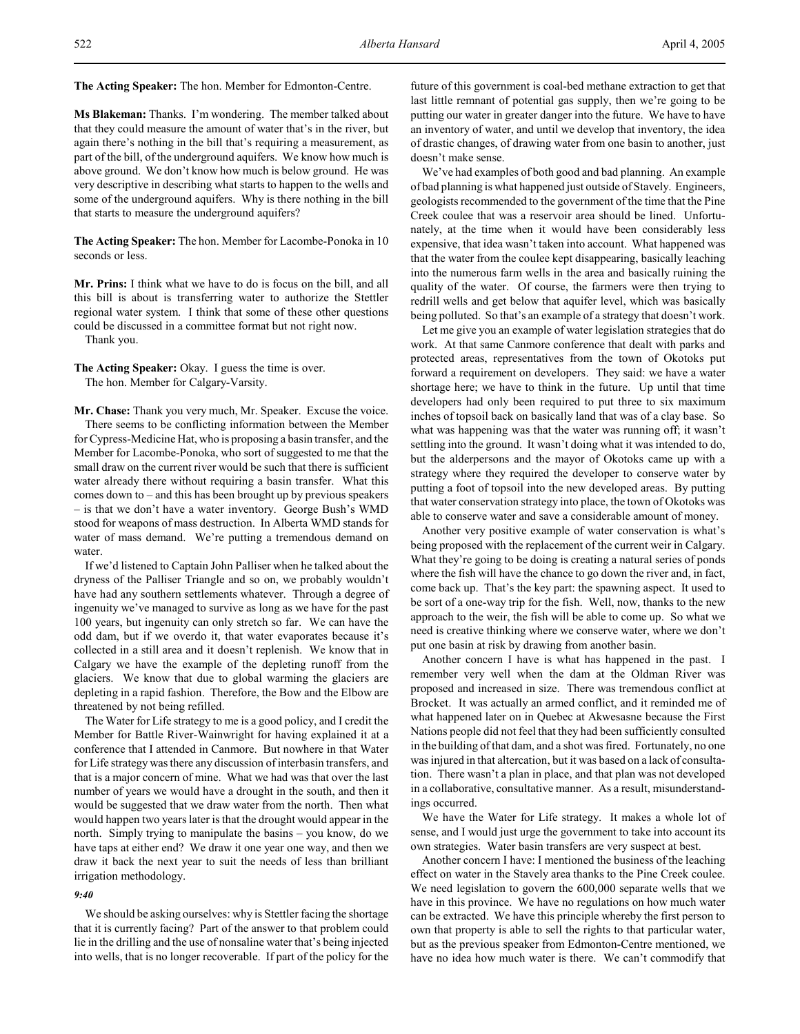**Ms Blakeman:** Thanks. I'm wondering. The member talked about that they could measure the amount of water that's in the river, but again there's nothing in the bill that's requiring a measurement, as part of the bill, of the underground aquifers. We know how much is above ground. We don't know how much is below ground. He was very descriptive in describing what starts to happen to the wells and some of the underground aquifers. Why is there nothing in the bill that starts to measure the underground aquifers?

**The Acting Speaker:** The hon. Member for Lacombe-Ponoka in 10 seconds or less.

**Mr. Prins:** I think what we have to do is focus on the bill, and all this bill is about is transferring water to authorize the Stettler regional water system. I think that some of these other questions could be discussed in a committee format but not right now.

Thank you.

**The Acting Speaker:** Okay. I guess the time is over. The hon. Member for Calgary-Varsity.

**Mr. Chase:** Thank you very much, Mr. Speaker. Excuse the voice. There seems to be conflicting information between the Member for Cypress-Medicine Hat, who is proposing a basin transfer, and the Member for Lacombe-Ponoka, who sort of suggested to me that the small draw on the current river would be such that there is sufficient water already there without requiring a basin transfer. What this comes down to – and this has been brought up by previous speakers – is that we don't have a water inventory. George Bush's WMD stood for weapons of mass destruction. In Alberta WMD stands for water of mass demand. We're putting a tremendous demand on water.

If we'd listened to Captain John Palliser when he talked about the dryness of the Palliser Triangle and so on, we probably wouldn't have had any southern settlements whatever. Through a degree of ingenuity we've managed to survive as long as we have for the past 100 years, but ingenuity can only stretch so far. We can have the odd dam, but if we overdo it, that water evaporates because it's collected in a still area and it doesn't replenish. We know that in Calgary we have the example of the depleting runoff from the glaciers. We know that due to global warming the glaciers are depleting in a rapid fashion. Therefore, the Bow and the Elbow are threatened by not being refilled.

The Water for Life strategy to me is a good policy, and I credit the Member for Battle River-Wainwright for having explained it at a conference that I attended in Canmore. But nowhere in that Water for Life strategy was there any discussion of interbasin transfers, and that is a major concern of mine. What we had was that over the last number of years we would have a drought in the south, and then it would be suggested that we draw water from the north. Then what would happen two years later is that the drought would appear in the north. Simply trying to manipulate the basins – you know, do we have taps at either end? We draw it one year one way, and then we draw it back the next year to suit the needs of less than brilliant irrigation methodology.

# *9:40*

We should be asking ourselves: why is Stettler facing the shortage that it is currently facing? Part of the answer to that problem could lie in the drilling and the use of nonsaline water that's being injected into wells, that is no longer recoverable. If part of the policy for the

future of this government is coal-bed methane extraction to get that last little remnant of potential gas supply, then we're going to be putting our water in greater danger into the future. We have to have an inventory of water, and until we develop that inventory, the idea of drastic changes, of drawing water from one basin to another, just doesn't make sense.

We've had examples of both good and bad planning. An example of bad planning is what happened just outside of Stavely. Engineers, geologists recommended to the government of the time that the Pine Creek coulee that was a reservoir area should be lined. Unfortunately, at the time when it would have been considerably less expensive, that idea wasn't taken into account. What happened was that the water from the coulee kept disappearing, basically leaching into the numerous farm wells in the area and basically ruining the quality of the water. Of course, the farmers were then trying to redrill wells and get below that aquifer level, which was basically being polluted. So that's an example of a strategy that doesn't work.

Let me give you an example of water legislation strategies that do work. At that same Canmore conference that dealt with parks and protected areas, representatives from the town of Okotoks put forward a requirement on developers. They said: we have a water shortage here; we have to think in the future. Up until that time developers had only been required to put three to six maximum inches of topsoil back on basically land that was of a clay base. So what was happening was that the water was running off; it wasn't settling into the ground. It wasn't doing what it was intended to do, but the alderpersons and the mayor of Okotoks came up with a strategy where they required the developer to conserve water by putting a foot of topsoil into the new developed areas. By putting that water conservation strategy into place, the town of Okotoks was able to conserve water and save a considerable amount of money.

Another very positive example of water conservation is what's being proposed with the replacement of the current weir in Calgary. What they're going to be doing is creating a natural series of ponds where the fish will have the chance to go down the river and, in fact, come back up. That's the key part: the spawning aspect. It used to be sort of a one-way trip for the fish. Well, now, thanks to the new approach to the weir, the fish will be able to come up. So what we need is creative thinking where we conserve water, where we don't put one basin at risk by drawing from another basin.

Another concern I have is what has happened in the past. I remember very well when the dam at the Oldman River was proposed and increased in size. There was tremendous conflict at Brocket. It was actually an armed conflict, and it reminded me of what happened later on in Quebec at Akwesasne because the First Nations people did not feel that they had been sufficiently consulted in the building of that dam, and a shot was fired. Fortunately, no one was injured in that altercation, but it was based on a lack of consultation. There wasn't a plan in place, and that plan was not developed in a collaborative, consultative manner. As a result, misunderstandings occurred.

We have the Water for Life strategy. It makes a whole lot of sense, and I would just urge the government to take into account its own strategies. Water basin transfers are very suspect at best.

Another concern I have: I mentioned the business of the leaching effect on water in the Stavely area thanks to the Pine Creek coulee. We need legislation to govern the 600,000 separate wells that we have in this province. We have no regulations on how much water can be extracted. We have this principle whereby the first person to own that property is able to sell the rights to that particular water, but as the previous speaker from Edmonton-Centre mentioned, we have no idea how much water is there. We can't commodify that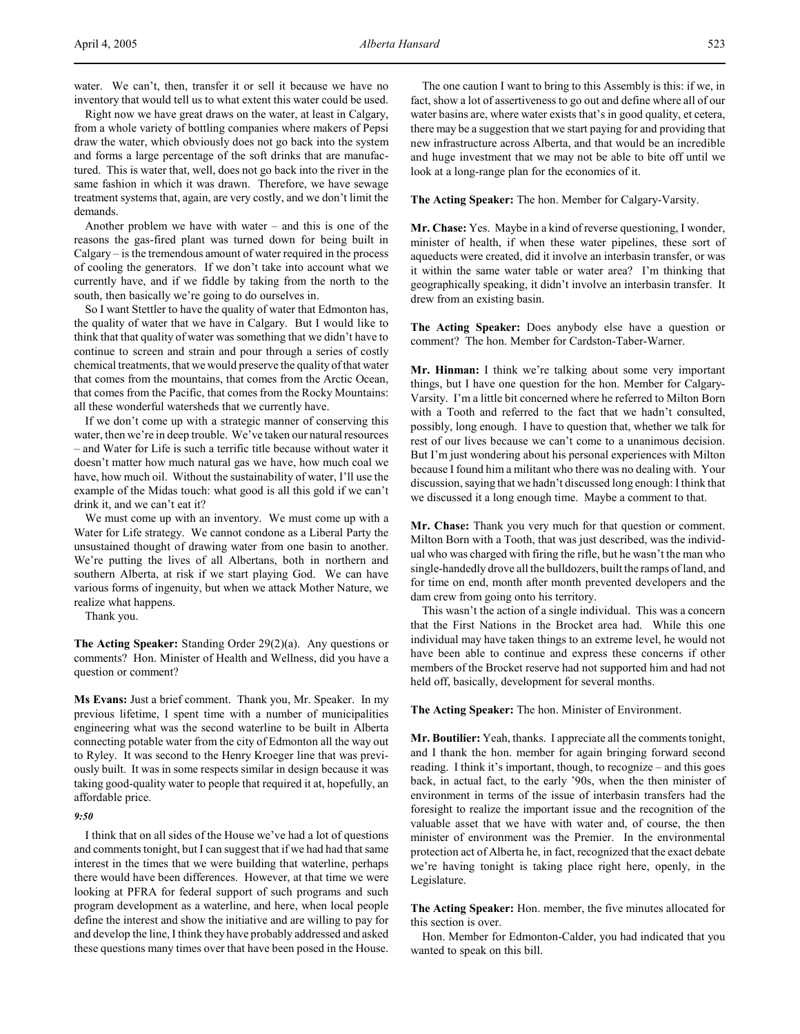water. We can't, then, transfer it or sell it because we have no inventory that would tell us to what extent this water could be used.

Right now we have great draws on the water, at least in Calgary, from a whole variety of bottling companies where makers of Pepsi draw the water, which obviously does not go back into the system and forms a large percentage of the soft drinks that are manufactured. This is water that, well, does not go back into the river in the same fashion in which it was drawn. Therefore, we have sewage treatment systems that, again, are very costly, and we don't limit the demands.

Another problem we have with water – and this is one of the reasons the gas-fired plant was turned down for being built in Calgary – is the tremendous amount of water required in the process of cooling the generators. If we don't take into account what we currently have, and if we fiddle by taking from the north to the south, then basically we're going to do ourselves in.

So I want Stettler to have the quality of water that Edmonton has, the quality of water that we have in Calgary. But I would like to think that that quality of water was something that we didn't have to continue to screen and strain and pour through a series of costly chemical treatments, that we would preserve the quality of that water that comes from the mountains, that comes from the Arctic Ocean, that comes from the Pacific, that comes from the Rocky Mountains: all these wonderful watersheds that we currently have.

If we don't come up with a strategic manner of conserving this water, then we're in deep trouble. We've taken our natural resources – and Water for Life is such a terrific title because without water it doesn't matter how much natural gas we have, how much coal we have, how much oil. Without the sustainability of water, I'll use the example of the Midas touch: what good is all this gold if we can't drink it, and we can't eat it?

We must come up with an inventory. We must come up with a Water for Life strategy. We cannot condone as a Liberal Party the unsustained thought of drawing water from one basin to another. We're putting the lives of all Albertans, both in northern and southern Alberta, at risk if we start playing God. We can have various forms of ingenuity, but when we attack Mother Nature, we realize what happens.

Thank you.

**The Acting Speaker:** Standing Order 29(2)(a). Any questions or comments? Hon. Minister of Health and Wellness, did you have a question or comment?

**Ms Evans:** Just a brief comment. Thank you, Mr. Speaker. In my previous lifetime, I spent time with a number of municipalities engineering what was the second waterline to be built in Alberta connecting potable water from the city of Edmonton all the way out to Ryley. It was second to the Henry Kroeger line that was previously built. It was in some respects similar in design because it was taking good-quality water to people that required it at, hopefully, an affordable price.

### *9:50*

I think that on all sides of the House we've had a lot of questions and comments tonight, but I can suggest that if we had had that same interest in the times that we were building that waterline, perhaps there would have been differences. However, at that time we were looking at PFRA for federal support of such programs and such program development as a waterline, and here, when local people define the interest and show the initiative and are willing to pay for and develop the line, I think they have probably addressed and asked these questions many times over that have been posed in the House.

The one caution I want to bring to this Assembly is this: if we, in fact, show a lot of assertiveness to go out and define where all of our water basins are, where water exists that's in good quality, et cetera, there may be a suggestion that we start paying for and providing that new infrastructure across Alberta, and that would be an incredible and huge investment that we may not be able to bite off until we look at a long-range plan for the economics of it.

**The Acting Speaker:** The hon. Member for Calgary-Varsity.

**Mr. Chase:** Yes. Maybe in a kind of reverse questioning, I wonder, minister of health, if when these water pipelines, these sort of aqueducts were created, did it involve an interbasin transfer, or was it within the same water table or water area? I'm thinking that geographically speaking, it didn't involve an interbasin transfer. It drew from an existing basin.

**The Acting Speaker:** Does anybody else have a question or comment? The hon. Member for Cardston-Taber-Warner.

**Mr. Hinman:** I think we're talking about some very important things, but I have one question for the hon. Member for Calgary-Varsity. I'm a little bit concerned where he referred to Milton Born with a Tooth and referred to the fact that we hadn't consulted, possibly, long enough. I have to question that, whether we talk for rest of our lives because we can't come to a unanimous decision. But I'm just wondering about his personal experiences with Milton because I found him a militant who there was no dealing with. Your discussion, saying that we hadn't discussed long enough: I think that we discussed it a long enough time. Maybe a comment to that.

**Mr. Chase:** Thank you very much for that question or comment. Milton Born with a Tooth, that was just described, was the individual who was charged with firing the rifle, but he wasn't the man who single-handedly drove all the bulldozers, built the ramps of land, and for time on end, month after month prevented developers and the dam crew from going onto his territory.

This wasn't the action of a single individual. This was a concern that the First Nations in the Brocket area had. While this one individual may have taken things to an extreme level, he would not have been able to continue and express these concerns if other members of the Brocket reserve had not supported him and had not held off, basically, development for several months.

**The Acting Speaker:** The hon. Minister of Environment.

**Mr. Boutilier:** Yeah, thanks. I appreciate all the comments tonight, and I thank the hon. member for again bringing forward second reading. I think it's important, though, to recognize – and this goes back, in actual fact, to the early '90s, when the then minister of environment in terms of the issue of interbasin transfers had the foresight to realize the important issue and the recognition of the valuable asset that we have with water and, of course, the then minister of environment was the Premier. In the environmental protection act of Alberta he, in fact, recognized that the exact debate we're having tonight is taking place right here, openly, in the Legislature.

**The Acting Speaker:** Hon. member, the five minutes allocated for this section is over.

Hon. Member for Edmonton-Calder, you had indicated that you wanted to speak on this bill.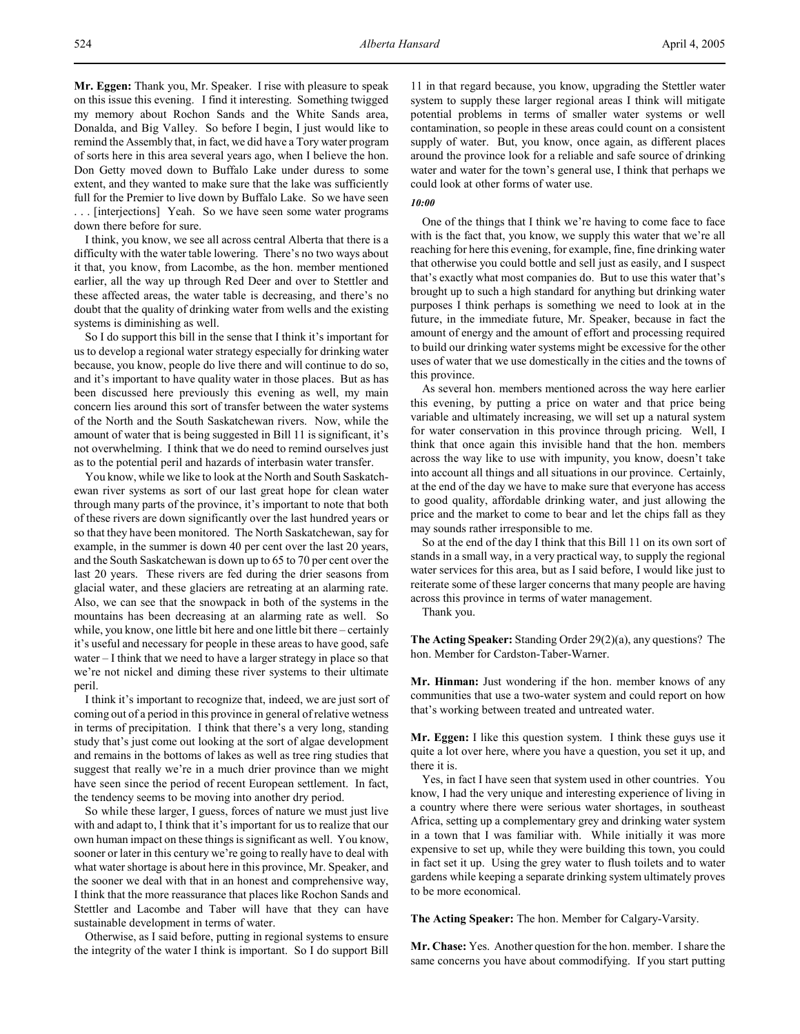**Mr. Eggen:** Thank you, Mr. Speaker. I rise with pleasure to speak on this issue this evening. I find it interesting. Something twigged my memory about Rochon Sands and the White Sands area, Donalda, and Big Valley. So before I begin, I just would like to remind the Assembly that, in fact, we did have a Tory water program of sorts here in this area several years ago, when I believe the hon. Don Getty moved down to Buffalo Lake under duress to some extent, and they wanted to make sure that the lake was sufficiently full for the Premier to live down by Buffalo Lake. So we have seen . . . [interjections] Yeah. So we have seen some water programs down there before for sure.

I think, you know, we see all across central Alberta that there is a difficulty with the water table lowering. There's no two ways about it that, you know, from Lacombe, as the hon. member mentioned earlier, all the way up through Red Deer and over to Stettler and these affected areas, the water table is decreasing, and there's no doubt that the quality of drinking water from wells and the existing systems is diminishing as well.

So I do support this bill in the sense that I think it's important for us to develop a regional water strategy especially for drinking water because, you know, people do live there and will continue to do so, and it's important to have quality water in those places. But as has been discussed here previously this evening as well, my main concern lies around this sort of transfer between the water systems of the North and the South Saskatchewan rivers. Now, while the amount of water that is being suggested in Bill 11 is significant, it's not overwhelming. I think that we do need to remind ourselves just as to the potential peril and hazards of interbasin water transfer.

You know, while we like to look at the North and South Saskatchewan river systems as sort of our last great hope for clean water through many parts of the province, it's important to note that both of these rivers are down significantly over the last hundred years or so that they have been monitored. The North Saskatchewan, say for example, in the summer is down 40 per cent over the last 20 years, and the South Saskatchewan is down up to 65 to 70 per cent over the last 20 years. These rivers are fed during the drier seasons from glacial water, and these glaciers are retreating at an alarming rate. Also, we can see that the snowpack in both of the systems in the mountains has been decreasing at an alarming rate as well. So while, you know, one little bit here and one little bit there – certainly it's useful and necessary for people in these areas to have good, safe water – I think that we need to have a larger strategy in place so that we're not nickel and diming these river systems to their ultimate peril.

I think it's important to recognize that, indeed, we are just sort of coming out of a period in this province in general of relative wetness in terms of precipitation. I think that there's a very long, standing study that's just come out looking at the sort of algae development and remains in the bottoms of lakes as well as tree ring studies that suggest that really we're in a much drier province than we might have seen since the period of recent European settlement. In fact, the tendency seems to be moving into another dry period.

So while these larger, I guess, forces of nature we must just live with and adapt to, I think that it's important for us to realize that our own human impact on these things is significant as well. You know, sooner or later in this century we're going to really have to deal with what water shortage is about here in this province, Mr. Speaker, and the sooner we deal with that in an honest and comprehensive way, I think that the more reassurance that places like Rochon Sands and Stettler and Lacombe and Taber will have that they can have sustainable development in terms of water.

Otherwise, as I said before, putting in regional systems to ensure the integrity of the water I think is important. So I do support Bill 11 in that regard because, you know, upgrading the Stettler water system to supply these larger regional areas I think will mitigate potential problems in terms of smaller water systems or well contamination, so people in these areas could count on a consistent supply of water. But, you know, once again, as different places around the province look for a reliable and safe source of drinking water and water for the town's general use, I think that perhaps we could look at other forms of water use.

## *10:00*

One of the things that I think we're having to come face to face with is the fact that, you know, we supply this water that we're all reaching for here this evening, for example, fine, fine drinking water that otherwise you could bottle and sell just as easily, and I suspect that's exactly what most companies do. But to use this water that's brought up to such a high standard for anything but drinking water purposes I think perhaps is something we need to look at in the future, in the immediate future, Mr. Speaker, because in fact the amount of energy and the amount of effort and processing required to build our drinking water systems might be excessive for the other uses of water that we use domestically in the cities and the towns of this province.

As several hon. members mentioned across the way here earlier this evening, by putting a price on water and that price being variable and ultimately increasing, we will set up a natural system for water conservation in this province through pricing. Well, I think that once again this invisible hand that the hon. members across the way like to use with impunity, you know, doesn't take into account all things and all situations in our province. Certainly, at the end of the day we have to make sure that everyone has access to good quality, affordable drinking water, and just allowing the price and the market to come to bear and let the chips fall as they may sounds rather irresponsible to me.

So at the end of the day I think that this Bill 11 on its own sort of stands in a small way, in a very practical way, to supply the regional water services for this area, but as I said before, I would like just to reiterate some of these larger concerns that many people are having across this province in terms of water management.

Thank you.

**The Acting Speaker:** Standing Order 29(2)(a), any questions? The hon. Member for Cardston-Taber-Warner.

**Mr. Hinman:** Just wondering if the hon. member knows of any communities that use a two-water system and could report on how that's working between treated and untreated water.

**Mr. Eggen:** I like this question system. I think these guys use it quite a lot over here, where you have a question, you set it up, and there it is.

Yes, in fact I have seen that system used in other countries. You know, I had the very unique and interesting experience of living in a country where there were serious water shortages, in southeast Africa, setting up a complementary grey and drinking water system in a town that I was familiar with. While initially it was more expensive to set up, while they were building this town, you could in fact set it up. Using the grey water to flush toilets and to water gardens while keeping a separate drinking system ultimately proves to be more economical.

**The Acting Speaker:** The hon. Member for Calgary-Varsity.

**Mr. Chase:** Yes. Another question for the hon. member. I share the same concerns you have about commodifying. If you start putting